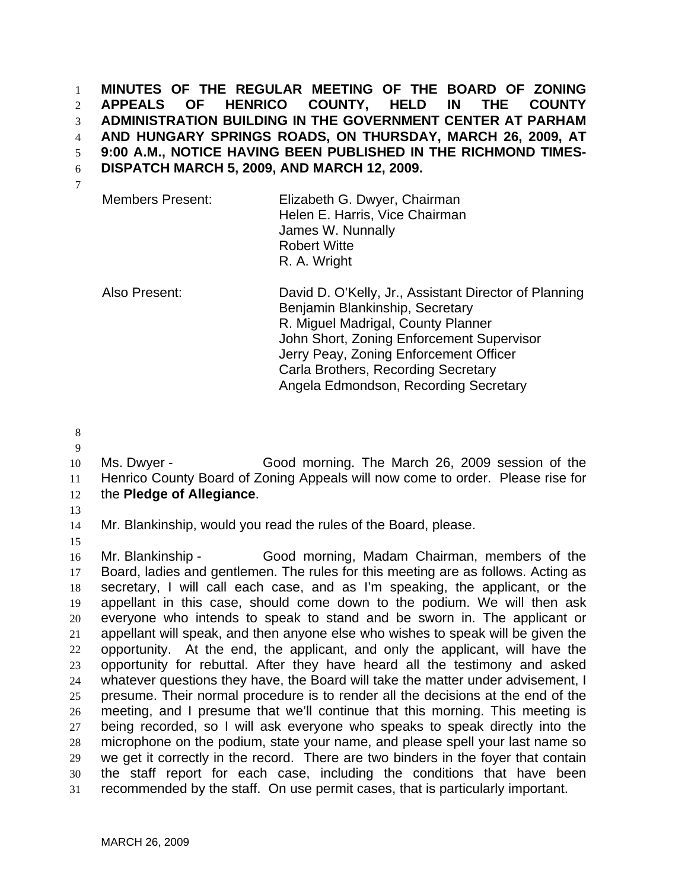**MINUTES OF THE REGULAR MEETING OF THE BOARD OF ZONING APPEALS OF HENRICO COUNTY, HELD IN THE COUNTY ADMINISTRATION BUILDING IN THE GOVERNMENT CENTER AT PARHAM AND HUNGARY SPRINGS ROADS, ON THURSDAY, MARCH 26, 2009, AT 9:00 A.M., NOTICE HAVING BEEN PUBLISHED IN THE RICHMOND TIMES-DISPATCH MARCH 5, 2009, AND MARCH 12, 2009.**  1 2 3 4 5 6 7

| <b>Members Present:</b> | Elizabeth G. Dwyer, Chairman   |  |
|-------------------------|--------------------------------|--|
|                         | Helen E. Harris, Vice Chairman |  |
|                         | James W. Nunnally              |  |
|                         | <b>Robert Witte</b>            |  |
|                         | R. A. Wright                   |  |
|                         |                                |  |

Also Present: David D. O'Kelly, Jr., Assistant Director of Planning Benjamin Blankinship, Secretary R. Miguel Madrigal, County Planner John Short, Zoning Enforcement Supervisor Jerry Peay, Zoning Enforcement Officer Carla Brothers, Recording Secretary Angela Edmondson, Recording Secretary

8

9

10 11 12 Ms. Dwyer - Good morning. The March 26, 2009 session of the Henrico County Board of Zoning Appeals will now come to order. Please rise for the **Pledge of Allegiance**.

13

14 Mr. Blankinship, would you read the rules of the Board, please.

15

16 17 18 19 20 21 22 23 24 25 26 27 28 29 30 31 Mr. Blankinship - Good morning, Madam Chairman, members of the Board, ladies and gentlemen. The rules for this meeting are as follows. Acting as secretary, I will call each case, and as I'm speaking, the applicant, or the appellant in this case, should come down to the podium. We will then ask everyone who intends to speak to stand and be sworn in. The applicant or appellant will speak, and then anyone else who wishes to speak will be given the opportunity. At the end, the applicant, and only the applicant, will have the opportunity for rebuttal. After they have heard all the testimony and asked whatever questions they have, the Board will take the matter under advisement, I presume. Their normal procedure is to render all the decisions at the end of the meeting, and I presume that we'll continue that this morning. This meeting is being recorded, so I will ask everyone who speaks to speak directly into the microphone on the podium, state your name, and please spell your last name so we get it correctly in the record. There are two binders in the foyer that contain the staff report for each case, including the conditions that have been recommended by the staff. On use permit cases, that is particularly important.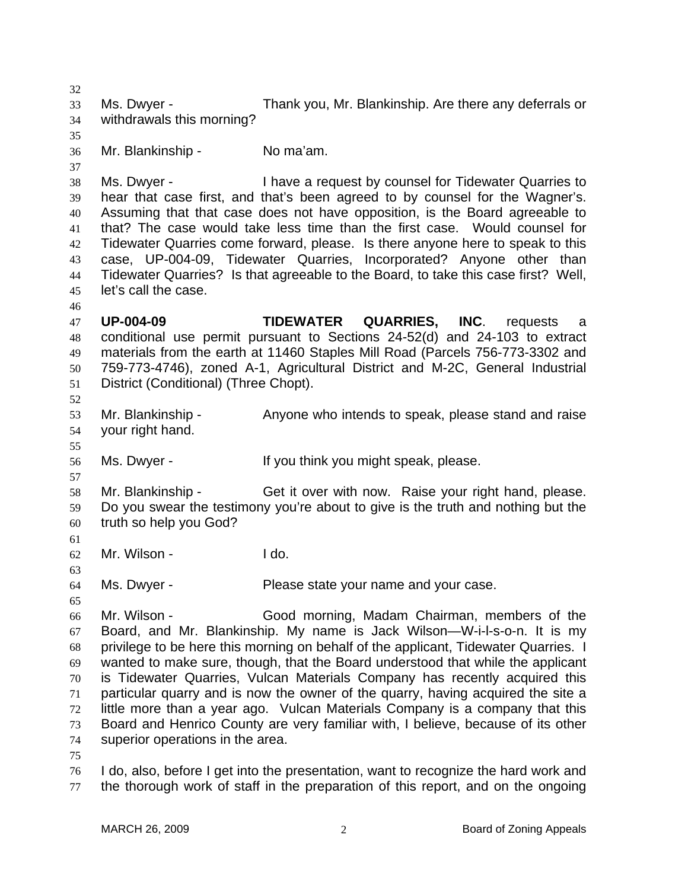32 33 34 35 36 37 38 39 40 41 42 43 44 45 46 47 48 49 50 51 52 53 54 55 56 57 58 59 60 61 62 63 64 65 66 67 68 69 70 71 72 73 74 75 76 77 Ms. Dwyer - Thank you, Mr. Blankinship. Are there any deferrals or withdrawals this morning? Mr. Blankinship - No ma'am. Ms. Dwyer - Thave a request by counsel for Tidewater Quarries to hear that case first, and that's been agreed to by counsel for the Wagner's. Assuming that that case does not have opposition, is the Board agreeable to that? The case would take less time than the first case. Would counsel for Tidewater Quarries come forward, please. Is there anyone here to speak to this case, UP-004-09, Tidewater Quarries, Incorporated? Anyone other than Tidewater Quarries? Is that agreeable to the Board, to take this case first? Well, let's call the case. **UP-004-09 TIDEWATER QUARRIES, INC**. requests a conditional use permit pursuant to Sections 24-52(d) and 24-103 to extract materials from the earth at 11460 Staples Mill Road (Parcels 756-773-3302 and 759-773-4746), zoned A-1, Agricultural District and M-2C, General Industrial District (Conditional) (Three Chopt). Mr. Blankinship - Anyone who intends to speak, please stand and raise your right hand. Ms. Dwyer - The Music of think you might speak, please. Mr. Blankinship - Get it over with now. Raise your right hand, please. Do you swear the testimony you're about to give is the truth and nothing but the truth so help you God? Mr. Wilson - The Lido. Ms. Dwyer - Please state your name and your case. Mr. Wilson - Good morning, Madam Chairman, members of the Board, and Mr. Blankinship. My name is Jack Wilson—W-i-l-s-o-n. It is my privilege to be here this morning on behalf of the applicant, Tidewater Quarries. I wanted to make sure, though, that the Board understood that while the applicant is Tidewater Quarries, Vulcan Materials Company has recently acquired this particular quarry and is now the owner of the quarry, having acquired the site a little more than a year ago. Vulcan Materials Company is a company that this Board and Henrico County are very familiar with, I believe, because of its other superior operations in the area. I do, also, before I get into the presentation, want to recognize the hard work and the thorough work of staff in the preparation of this report, and on the ongoing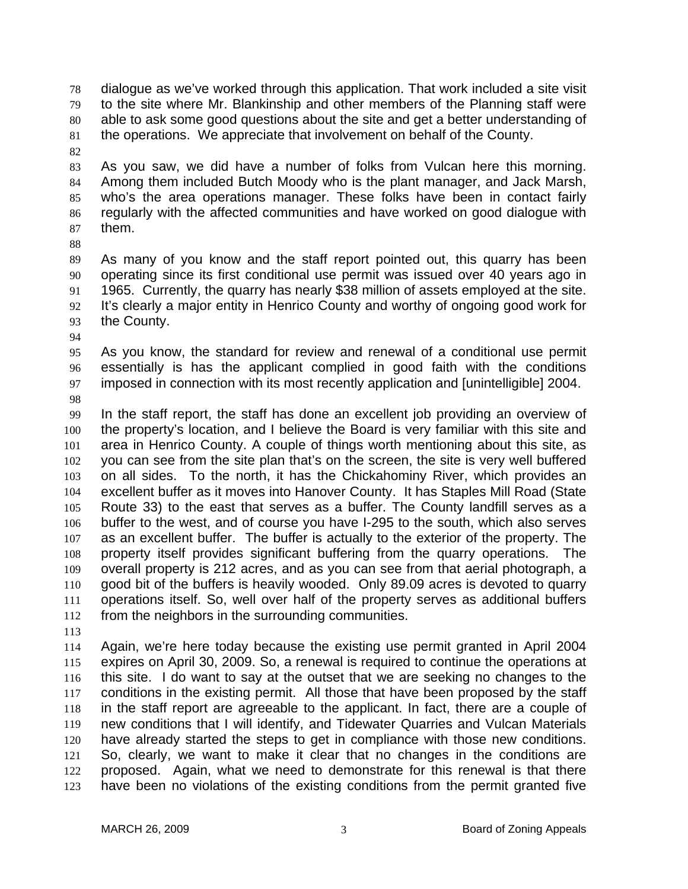dialogue as we've worked through this application. That work included a site visit to the site where Mr. Blankinship and other members of the Planning staff were able to ask some good questions about the site and get a better understanding of the operations. We appreciate that involvement on behalf of the County. 78 79 80 81

82

83 84 85 86 87 As you saw, we did have a number of folks from Vulcan here this morning. Among them included Butch Moody who is the plant manager, and Jack Marsh, who's the area operations manager. These folks have been in contact fairly regularly with the affected communities and have worked on good dialogue with them.

88

89 90 91 92 93 As many of you know and the staff report pointed out, this quarry has been operating since its first conditional use permit was issued over 40 years ago in 1965. Currently, the quarry has nearly \$38 million of assets employed at the site. It's clearly a major entity in Henrico County and worthy of ongoing good work for the County.

94

95 96 97 As you know, the standard for review and renewal of a conditional use permit essentially is has the applicant complied in good faith with the conditions imposed in connection with its most recently application and [unintelligible] 2004.

98

99 100 101 102 103 104 105 106 107 108 109 110 111 112 In the staff report, the staff has done an excellent job providing an overview of the property's location, and I believe the Board is very familiar with this site and area in Henrico County. A couple of things worth mentioning about this site, as you can see from the site plan that's on the screen, the site is very well buffered on all sides. To the north, it has the Chickahominy River, which provides an excellent buffer as it moves into Hanover County. It has Staples Mill Road (State Route 33) to the east that serves as a buffer. The County landfill serves as a buffer to the west, and of course you have I-295 to the south, which also serves as an excellent buffer. The buffer is actually to the exterior of the property. The property itself provides significant buffering from the quarry operations. The overall property is 212 acres, and as you can see from that aerial photograph, a good bit of the buffers is heavily wooded. Only 89.09 acres is devoted to quarry operations itself. So, well over half of the property serves as additional buffers from the neighbors in the surrounding communities.

113

114 115 116 117 118 119 120 121 122 123 Again, we're here today because the existing use permit granted in April 2004 expires on April 30, 2009. So, a renewal is required to continue the operations at this site. I do want to say at the outset that we are seeking no changes to the conditions in the existing permit. All those that have been proposed by the staff in the staff report are agreeable to the applicant. In fact, there are a couple of new conditions that I will identify, and Tidewater Quarries and Vulcan Materials have already started the steps to get in compliance with those new conditions. So, clearly, we want to make it clear that no changes in the conditions are proposed. Again, what we need to demonstrate for this renewal is that there have been no violations of the existing conditions from the permit granted five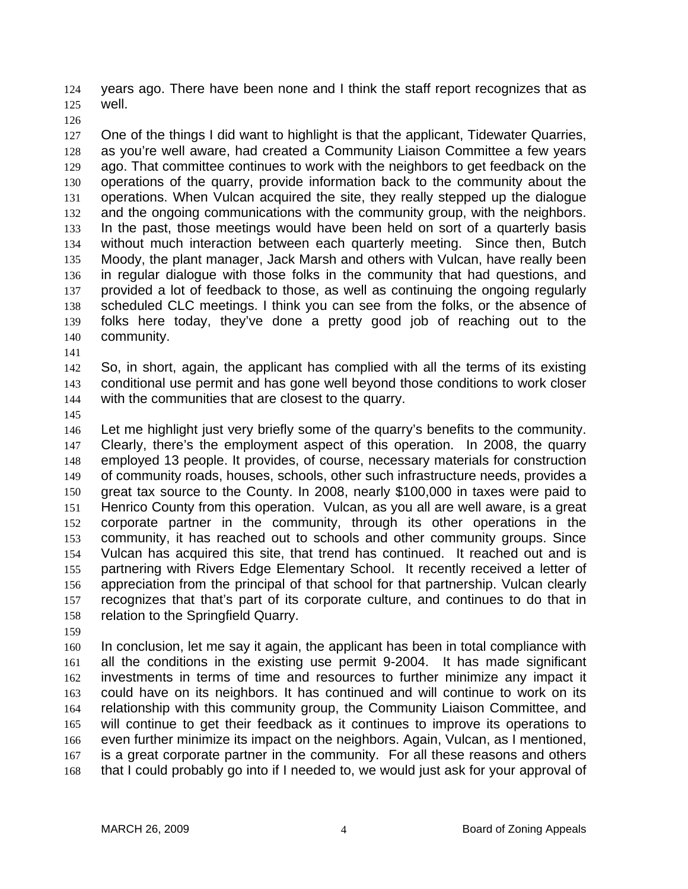years ago. There have been none and I think the staff report recognizes that as well. 124 125

126

127 128 129 130 131 132 133 134 135 136 137 138 139 140 One of the things I did want to highlight is that the applicant, Tidewater Quarries, as you're well aware, had created a Community Liaison Committee a few years ago. That committee continues to work with the neighbors to get feedback on the operations of the quarry, provide information back to the community about the operations. When Vulcan acquired the site, they really stepped up the dialogue and the ongoing communications with the community group, with the neighbors. In the past, those meetings would have been held on sort of a quarterly basis without much interaction between each quarterly meeting. Since then, Butch Moody, the plant manager, Jack Marsh and others with Vulcan, have really been in regular dialogue with those folks in the community that had questions, and provided a lot of feedback to those, as well as continuing the ongoing regularly scheduled CLC meetings. I think you can see from the folks, or the absence of folks here today, they've done a pretty good job of reaching out to the community.

141

142 143 144 So, in short, again, the applicant has complied with all the terms of its existing conditional use permit and has gone well beyond those conditions to work closer with the communities that are closest to the quarry.

145

146 147 148 149 150 151 152 153 154 155 156 157 158 Let me highlight just very briefly some of the quarry's benefits to the community. Clearly, there's the employment aspect of this operation. In 2008, the quarry employed 13 people. It provides, of course, necessary materials for construction of community roads, houses, schools, other such infrastructure needs, provides a great tax source to the County. In 2008, nearly \$100,000 in taxes were paid to Henrico County from this operation. Vulcan, as you all are well aware, is a great corporate partner in the community, through its other operations in the community, it has reached out to schools and other community groups. Since Vulcan has acquired this site, that trend has continued. It reached out and is partnering with Rivers Edge Elementary School. It recently received a letter of appreciation from the principal of that school for that partnership. Vulcan clearly recognizes that that's part of its corporate culture, and continues to do that in relation to the Springfield Quarry.

159

160 161 162 163 164 165 166 167 168 In conclusion, let me say it again, the applicant has been in total compliance with all the conditions in the existing use permit 9-2004. It has made significant investments in terms of time and resources to further minimize any impact it could have on its neighbors. It has continued and will continue to work on its relationship with this community group, the Community Liaison Committee, and will continue to get their feedback as it continues to improve its operations to even further minimize its impact on the neighbors. Again, Vulcan, as I mentioned, is a great corporate partner in the community. For all these reasons and others that I could probably go into if I needed to, we would just ask for your approval of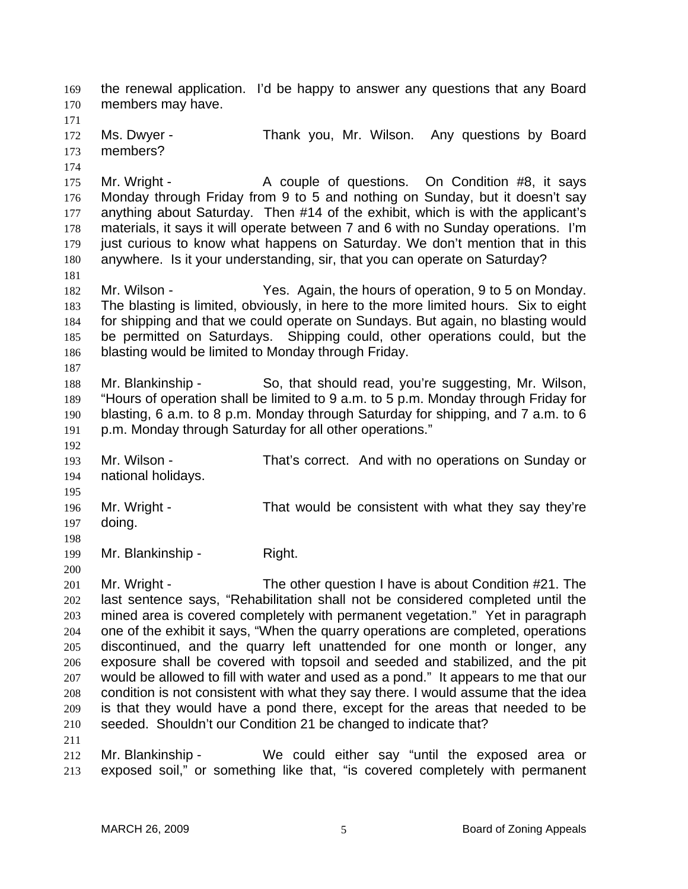the renewal application. I'd be happy to answer any questions that any Board members may have. 169 170 171 172 173 174 175 176 177 178 179 180 181 182 183 184 185 186 187 188 189 190 191 192 193 194 195 196 197 198 199 200 201 202 203 204 205 206 207 208 209 210 211 Ms. Dwyer - Thank you, Mr. Wilson. Any questions by Board members? Mr. Wright - The Couple of questions. On Condition #8, it says Monday through Friday from 9 to 5 and nothing on Sunday, but it doesn't say anything about Saturday. Then #14 of the exhibit, which is with the applicant's materials, it says it will operate between 7 and 6 with no Sunday operations. I'm just curious to know what happens on Saturday. We don't mention that in this anywhere. Is it your understanding, sir, that you can operate on Saturday? Mr. Wilson - The Yes. Again, the hours of operation, 9 to 5 on Monday. The blasting is limited, obviously, in here to the more limited hours. Six to eight for shipping and that we could operate on Sundays. But again, no blasting would be permitted on Saturdays. Shipping could, other operations could, but the blasting would be limited to Monday through Friday. Mr. Blankinship - So, that should read, you're suggesting, Mr. Wilson, "Hours of operation shall be limited to 9 a.m. to 5 p.m. Monday through Friday for blasting, 6 a.m. to 8 p.m. Monday through Saturday for shipping, and 7 a.m. to 6 p.m. Monday through Saturday for all other operations." Mr. Wilson - That's correct. And with no operations on Sunday or national holidays. Mr. Wright - That would be consistent with what they say they're doing. Mr. Blankinship - Right. Mr. Wright - The other question I have is about Condition #21. The last sentence says, "Rehabilitation shall not be considered completed until the mined area is covered completely with permanent vegetation." Yet in paragraph one of the exhibit it says, "When the quarry operations are completed, operations discontinued, and the quarry left unattended for one month or longer, any exposure shall be covered with topsoil and seeded and stabilized, and the pit would be allowed to fill with water and used as a pond." It appears to me that our condition is not consistent with what they say there. I would assume that the idea is that they would have a pond there, except for the areas that needed to be seeded. Shouldn't our Condition 21 be changed to indicate that?

212 213 Mr. Blankinship - We could either say "until the exposed area or exposed soil," or something like that, "is covered completely with permanent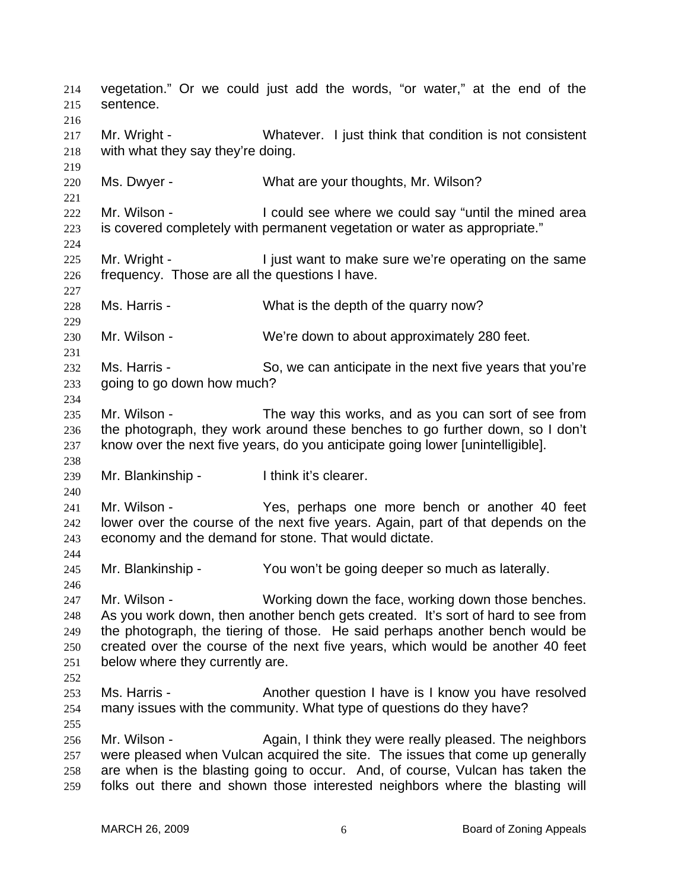vegetation." Or we could just add the words, "or water," at the end of the sentence. 214 215 216 217 218 219 220 221 222 223 224 225 226 227 228 229 230 231 232 233 234 235 236 237 238 239 240 241 242 243 244 245 246 247 248 249 250 251 252 253 254 255 256 257 258 259 Mr. Wright - Whatever. I just think that condition is not consistent with what they say they're doing. Ms. Dwyer - What are your thoughts, Mr. Wilson? Mr. Wilson - **I** could see where we could say "until the mined area is covered completely with permanent vegetation or water as appropriate." Mr. Wright - I just want to make sure we're operating on the same frequency. Those are all the questions I have. Ms. Harris - What is the depth of the quarry now? Mr. Wilson - We're down to about approximately 280 feet. Ms. Harris - So, we can anticipate in the next five years that you're going to go down how much? Mr. Wilson - The way this works, and as you can sort of see from the photograph, they work around these benches to go further down, so I don't know over the next five years, do you anticipate going lower [unintelligible]. Mr. Blankinship - I think it's clearer. Mr. Wilson - The Yes, perhaps one more bench or another 40 feet lower over the course of the next five years. Again, part of that depends on the economy and the demand for stone. That would dictate. Mr. Blankinship - You won't be going deeper so much as laterally. Mr. Wilson - Working down the face, working down those benches. As you work down, then another bench gets created. It's sort of hard to see from the photograph, the tiering of those. He said perhaps another bench would be created over the course of the next five years, which would be another 40 feet below where they currently are. Ms. Harris - **Another question I have is I know you have resolved** many issues with the community. What type of questions do they have? Mr. Wilson - **Again, I think they were really pleased.** The neighbors were pleased when Vulcan acquired the site. The issues that come up generally are when is the blasting going to occur. And, of course, Vulcan has taken the folks out there and shown those interested neighbors where the blasting will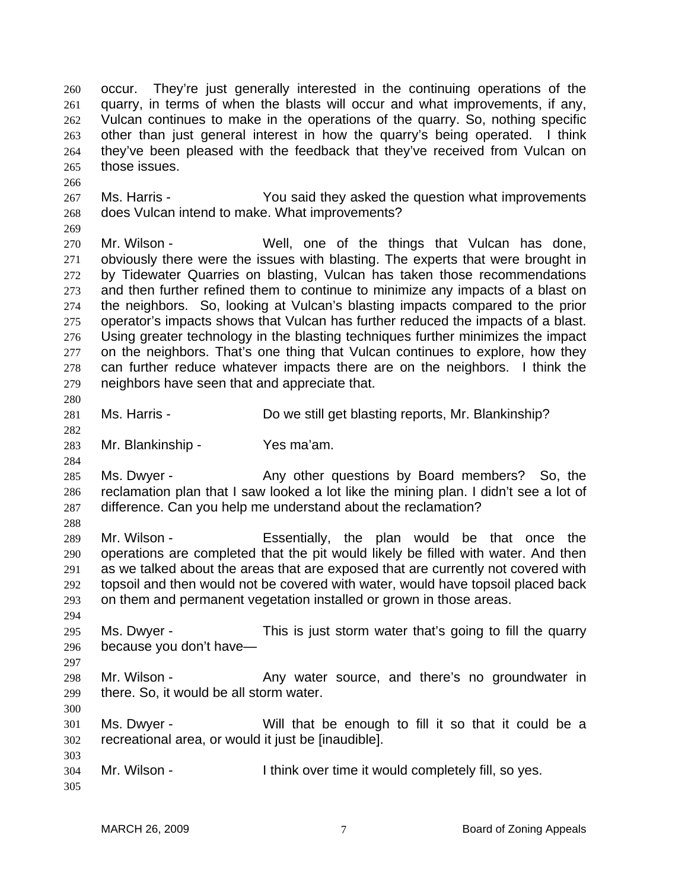occur. They're just generally interested in the continuing operations of the quarry, in terms of when the blasts will occur and what improvements, if any, Vulcan continues to make in the operations of the quarry. So, nothing specific other than just general interest in how the quarry's being operated. I think they've been pleased with the feedback that they've received from Vulcan on those issues. 260 261 262 263 264 265

- 267 268 Ms. Harris - The You said they asked the question what improvements does Vulcan intend to make. What improvements?
- 269

280

282

284

288

294

297

300

266

270 271 272 273 274 275 276 277 278 279 Mr. Wilson - Well, one of the things that Vulcan has done, obviously there were the issues with blasting. The experts that were brought in by Tidewater Quarries on blasting, Vulcan has taken those recommendations and then further refined them to continue to minimize any impacts of a blast on the neighbors. So, looking at Vulcan's blasting impacts compared to the prior operator's impacts shows that Vulcan has further reduced the impacts of a blast. Using greater technology in the blasting techniques further minimizes the impact on the neighbors. That's one thing that Vulcan continues to explore, how they can further reduce whatever impacts there are on the neighbors. I think the neighbors have seen that and appreciate that.

- 281 Ms. Harris - **Do we still get blasting reports, Mr. Blankinship?**
- 283 Mr. Blankinship - Yes ma'am.

285 286 287 Ms. Dwyer - The Any other questions by Board members? So, the reclamation plan that I saw looked a lot like the mining plan. I didn't see a lot of difference. Can you help me understand about the reclamation?

289 290 291 292 293 Mr. Wilson - The Essentially, the plan would be that once the operations are completed that the pit would likely be filled with water. And then as we talked about the areas that are exposed that are currently not covered with topsoil and then would not be covered with water, would have topsoil placed back on them and permanent vegetation installed or grown in those areas.

- 295 296 Ms. Dwyer - This is just storm water that's going to fill the quarry because you don't have—
- 298 299 Mr. Wilson - The Any water source, and there's no groundwater in there. So, it would be all storm water.
- 301 302 Ms. Dwyer - Will that be enough to fill it so that it could be a recreational area, or would it just be [inaudible].
- 304 Mr. Wilson - I think over time it would completely fill, so yes.
- 305

303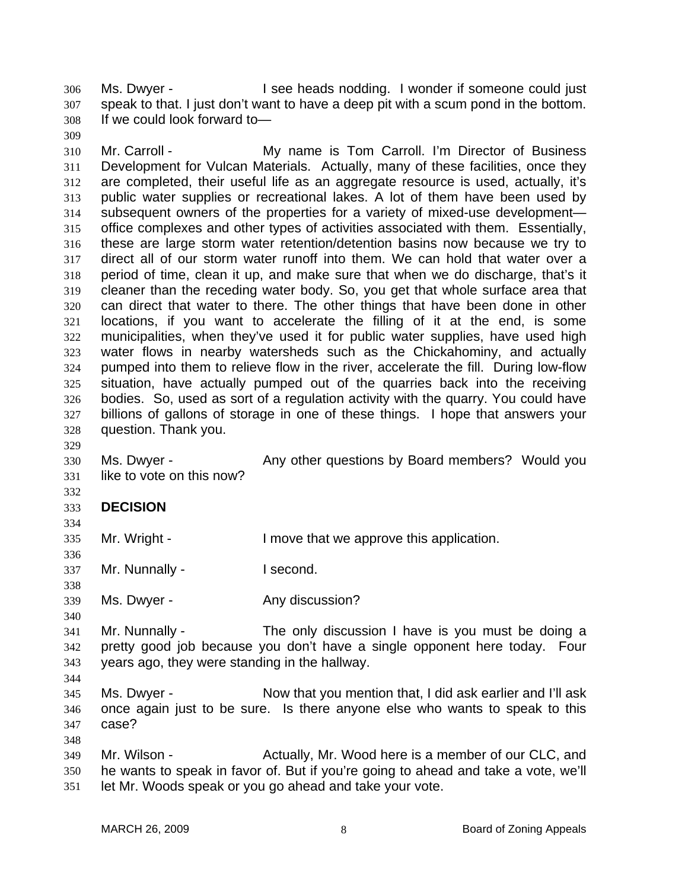Ms. Dwyer - The See heads nodding. I wonder if someone could just speak to that. I just don't want to have a deep pit with a scum pond in the bottom. If we could look forward to— 306 307 308

310 311 312 313 314 315 316 317 318 319 320 321 322 323 324 325 326 327 328 Mr. Carroll - The My name is Tom Carroll. I'm Director of Business Development for Vulcan Materials. Actually, many of these facilities, once they are completed, their useful life as an aggregate resource is used, actually, it's public water supplies or recreational lakes. A lot of them have been used by subsequent owners of the properties for a variety of mixed-use development office complexes and other types of activities associated with them. Essentially, these are large storm water retention/detention basins now because we try to direct all of our storm water runoff into them. We can hold that water over a period of time, clean it up, and make sure that when we do discharge, that's it cleaner than the receding water body. So, you get that whole surface area that can direct that water to there. The other things that have been done in other locations, if you want to accelerate the filling of it at the end, is some municipalities, when they've used it for public water supplies, have used high water flows in nearby watersheds such as the Chickahominy, and actually pumped into them to relieve flow in the river, accelerate the fill. During low-flow situation, have actually pumped out of the quarries back into the receiving bodies. So, used as sort of a regulation activity with the quarry. You could have billions of gallons of storage in one of these things. I hope that answers your question. Thank you.

329 330 331

309

Ms. Dwyer - Any other questions by Board members? Would you like to vote on this now?

## 333 **DECISION**

334 335

336

338

332

Mr. Wright - The Muslim ove that we approve this application.

337 Mr. Nunnally - I second.

339 Ms. Dwyer - The Any discussion?

340

348

341 342 343 344 Mr. Nunnally - The only discussion I have is you must be doing a pretty good job because you don't have a single opponent here today. Four years ago, they were standing in the hallway.

345 346 347 Ms. Dwyer - Now that you mention that, I did ask earlier and I'll ask once again just to be sure. Is there anyone else who wants to speak to this case?

349 350 351 Mr. Wilson - The Actually, Mr. Wood here is a member of our CLC, and he wants to speak in favor of. But if you're going to ahead and take a vote, we'll let Mr. Woods speak or you go ahead and take your vote.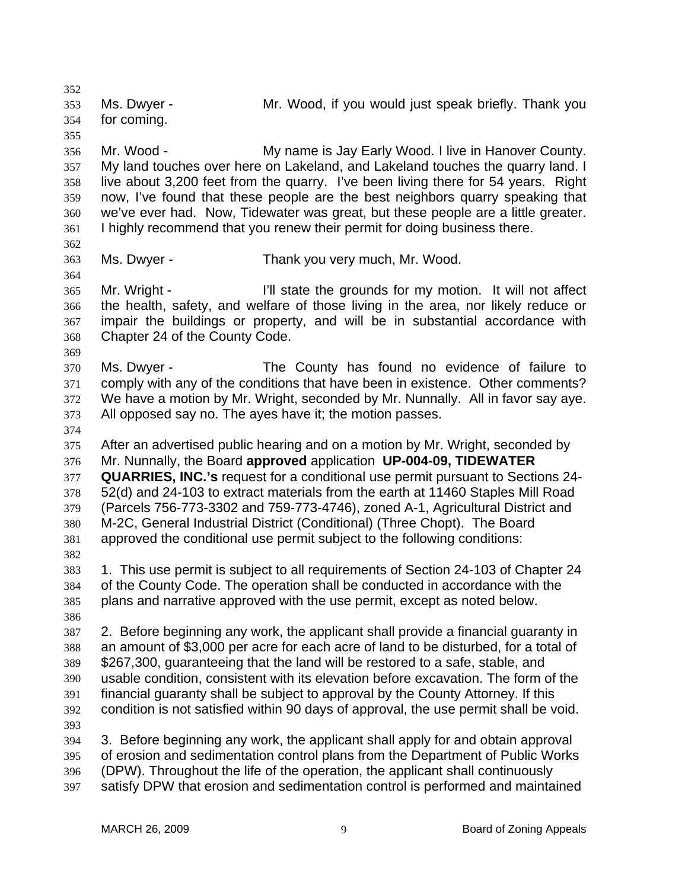352 353 354 355 356 357 358 359 360 361 362 363 364 365 366 367 368 369 370 371 372 373 374 375 376 377 378 379 380 381 382 383 384 385 386 387 388 389 390 391 392 393 394 395 396 397 Ms. Dwyer - Mr. Wood, if you would just speak briefly. Thank you for coming. Mr. Wood - **My name is Jay Early Wood. I live in Hanover County.** My land touches over here on Lakeland, and Lakeland touches the quarry land. I live about 3,200 feet from the quarry. I've been living there for 54 years. Right now, I've found that these people are the best neighbors quarry speaking that we've ever had. Now, Tidewater was great, but these people are a little greater. I highly recommend that you renew their permit for doing business there. Ms. Dwyer - Thank you very much, Mr. Wood. Mr. Wright - The I'll state the grounds for my motion. It will not affect the health, safety, and welfare of those living in the area, nor likely reduce or impair the buildings or property, and will be in substantial accordance with Chapter 24 of the County Code. Ms. Dwyer - The County has found no evidence of failure to comply with any of the conditions that have been in existence. Other comments? We have a motion by Mr. Wright, seconded by Mr. Nunnally. All in favor say aye. All opposed say no. The ayes have it; the motion passes. After an advertised public hearing and on a motion by Mr. Wright, seconded by Mr. Nunnally, the Board **approved** application **UP-004-09, TIDEWATER QUARRIES, INC.'s** request for a conditional use permit pursuant to Sections 24- 52(d) and 24-103 to extract materials from the earth at 11460 Staples Mill Road (Parcels 756-773-3302 and 759-773-4746), zoned A-1, Agricultural District and M-2C, General Industrial District (Conditional) (Three Chopt). The Board approved the conditional use permit subject to the following conditions: 1. This use permit is subject to all requirements of Section 24-103 of Chapter 24 of the County Code. The operation shall be conducted in accordance with the plans and narrative approved with the use permit, except as noted below. 2. Before beginning any work, the applicant shall provide a financial guaranty in an amount of \$3,000 per acre for each acre of land to be disturbed, for a total of \$267,300, guaranteeing that the land will be restored to a safe, stable, and usable condition, consistent with its elevation before excavation. The form of the financial guaranty shall be subject to approval by the County Attorney. If this condition is not satisfied within 90 days of approval, the use permit shall be void. 3. Before beginning any work, the applicant shall apply for and obtain approval of erosion and sedimentation control plans from the Department of Public Works (DPW). Throughout the life of the operation, the applicant shall continuously satisfy DPW that erosion and sedimentation control is performed and maintained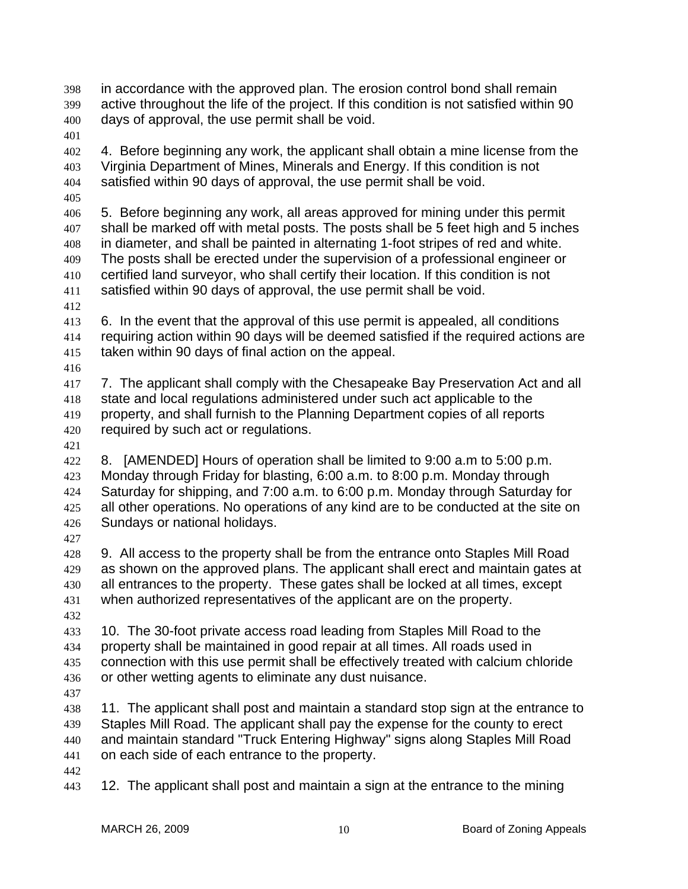in accordance with the approved plan. The erosion control bond shall remain active throughout the life of the project. If this condition is not satisfied within 90 days of approval, the use permit shall be void. 398 399 400

401

402 403 404 4. Before beginning any work, the applicant shall obtain a mine license from the Virginia Department of Mines, Minerals and Energy. If this condition is not satisfied within 90 days of approval, the use permit shall be void.

405

406 407 408 409 410 411 5. Before beginning any work, all areas approved for mining under this permit shall be marked off with metal posts. The posts shall be 5 feet high and 5 inches in diameter, and shall be painted in alternating 1-foot stripes of red and white. The posts shall be erected under the supervision of a professional engineer or certified land surveyor, who shall certify their location. If this condition is not satisfied within 90 days of approval, the use permit shall be void.

412

416

413 414 415 6. In the event that the approval of this use permit is appealed, all conditions requiring action within 90 days will be deemed satisfied if the required actions are taken within 90 days of final action on the appeal.

417 418 419 420 7. The applicant shall comply with the Chesapeake Bay Preservation Act and all state and local regulations administered under such act applicable to the property, and shall furnish to the Planning Department copies of all reports required by such act or regulations.

421

422 423 424 425 426 8. [AMENDED] Hours of operation shall be limited to 9:00 a.m to 5:00 p.m. Monday through Friday for blasting, 6:00 a.m. to 8:00 p.m. Monday through Saturday for shipping, and 7:00 a.m. to 6:00 p.m. Monday through Saturday for all other operations. No operations of any kind are to be conducted at the site on Sundays or national holidays.

427

428 429 430 431 9. All access to the property shall be from the entrance onto Staples Mill Road as shown on the approved plans. The applicant shall erect and maintain gates at all entrances to the property. These gates shall be locked at all times, except when authorized representatives of the applicant are on the property.

432

433 434 435 436 10. The 30-foot private access road leading from Staples Mill Road to the property shall be maintained in good repair at all times. All roads used in connection with this use permit shall be effectively treated with calcium chloride or other wetting agents to eliminate any dust nuisance.

437

438 439 440 441 11. The applicant shall post and maintain a standard stop sign at the entrance to Staples Mill Road. The applicant shall pay the expense for the county to erect and maintain standard "Truck Entering Highway" signs along Staples Mill Road on each side of each entrance to the property.

442

443 12. The applicant shall post and maintain a sign at the entrance to the mining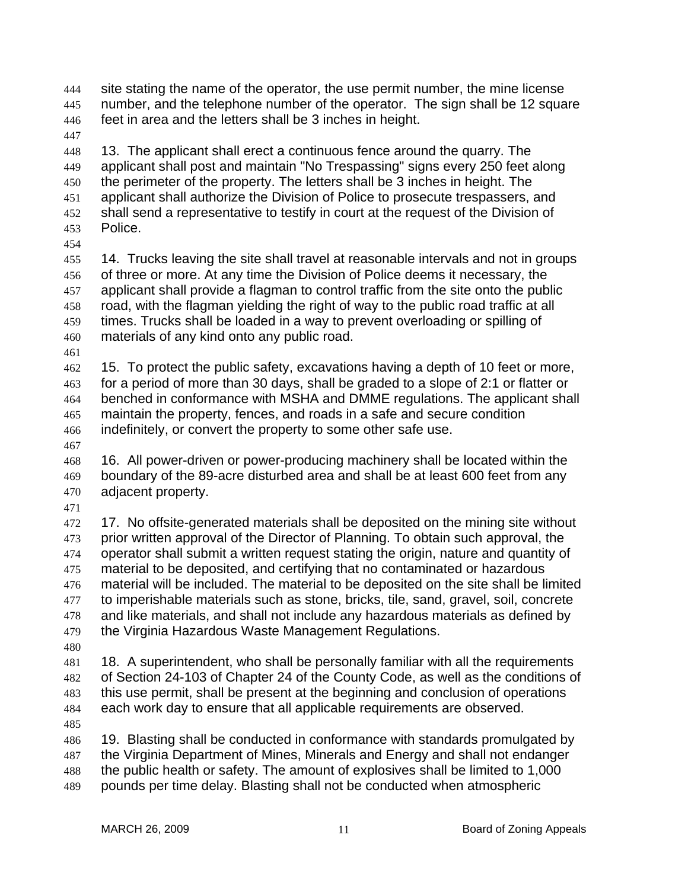site stating the name of the operator, the use permit number, the mine license number, and the telephone number of the operator. The sign shall be 12 square feet in area and the letters shall be 3 inches in height. 444 445 446

447

448 449 450 451 452 453 13. The applicant shall erect a continuous fence around the quarry. The applicant shall post and maintain "No Trespassing" signs every 250 feet along the perimeter of the property. The letters shall be 3 inches in height. The applicant shall authorize the Division of Police to prosecute trespassers, and shall send a representative to testify in court at the request of the Division of Police.

454

455 456 457 458 459 460 14. Trucks leaving the site shall travel at reasonable intervals and not in groups of three or more. At any time the Division of Police deems it necessary, the applicant shall provide a flagman to control traffic from the site onto the public road, with the flagman yielding the right of way to the public road traffic at all times. Trucks shall be loaded in a way to prevent overloading or spilling of materials of any kind onto any public road.

461

462 463 464 465 466 15. To protect the public safety, excavations having a depth of 10 feet or more, for a period of more than 30 days, shall be graded to a slope of 2:1 or flatter or benched in conformance with MSHA and DMME regulations. The applicant shall maintain the property, fences, and roads in a safe and secure condition indefinitely, or convert the property to some other safe use.

467

468 469 470 16. All power-driven or power-producing machinery shall be located within the boundary of the 89-acre disturbed area and shall be at least 600 feet from any adjacent property.

471

472 473 474 475 476 477 478 479 17. No offsite-generated materials shall be deposited on the mining site without prior written approval of the Director of Planning. To obtain such approval, the operator shall submit a written request stating the origin, nature and quantity of material to be deposited, and certifying that no contaminated or hazardous material will be included. The material to be deposited on the site shall be limited to imperishable materials such as stone, bricks, tile, sand, gravel, soil, concrete and like materials, and shall not include any hazardous materials as defined by the Virginia Hazardous Waste Management Regulations.

480

481 482 483 484 485 18. A superintendent, who shall be personally familiar with all the requirements of Section 24-103 of Chapter 24 of the County Code, as well as the conditions of this use permit, shall be present at the beginning and conclusion of operations each work day to ensure that all applicable requirements are observed.

486 487 488 489 19. Blasting shall be conducted in conformance with standards promulgated by the Virginia Department of Mines, Minerals and Energy and shall not endanger the public health or safety. The amount of explosives shall be limited to 1,000 pounds per time delay. Blasting shall not be conducted when atmospheric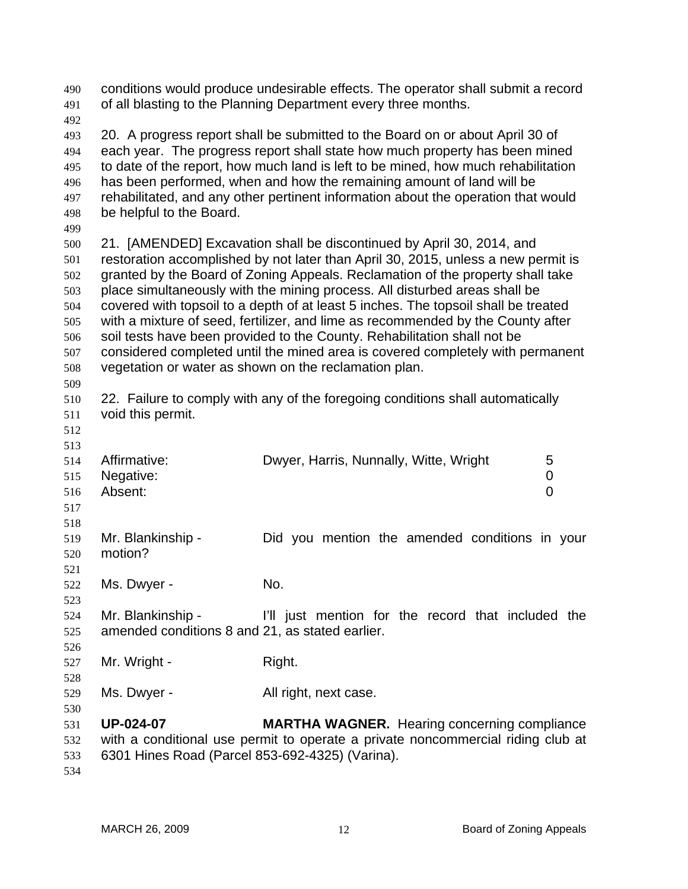| 490<br>491                                                         | conditions would produce undesirable effects. The operator shall submit a record<br>of all blasting to the Planning Department every three months.                                                                                                                                                                                                                                                                                                                                                                                                                                                                                                                                                                         |                                                                                                                                        |  |
|--------------------------------------------------------------------|----------------------------------------------------------------------------------------------------------------------------------------------------------------------------------------------------------------------------------------------------------------------------------------------------------------------------------------------------------------------------------------------------------------------------------------------------------------------------------------------------------------------------------------------------------------------------------------------------------------------------------------------------------------------------------------------------------------------------|----------------------------------------------------------------------------------------------------------------------------------------|--|
| 492<br>493<br>494<br>495<br>496<br>497<br>498<br>499               | 20. A progress report shall be submitted to the Board on or about April 30 of<br>each year. The progress report shall state how much property has been mined<br>to date of the report, how much land is left to be mined, how much rehabilitation<br>has been performed, when and how the remaining amount of land will be<br>rehabilitated, and any other pertinent information about the operation that would<br>be helpful to the Board.                                                                                                                                                                                                                                                                                |                                                                                                                                        |  |
| 500<br>501<br>502<br>503<br>504<br>505<br>506<br>507<br>508<br>509 | 21. [AMENDED] Excavation shall be discontinued by April 30, 2014, and<br>restoration accomplished by not later than April 30, 2015, unless a new permit is<br>granted by the Board of Zoning Appeals. Reclamation of the property shall take<br>place simultaneously with the mining process. All disturbed areas shall be<br>covered with topsoil to a depth of at least 5 inches. The topsoil shall be treated<br>with a mixture of seed, fertilizer, and lime as recommended by the County after<br>soil tests have been provided to the County. Rehabilitation shall not be<br>considered completed until the mined area is covered completely with permanent<br>vegetation or water as shown on the reclamation plan. |                                                                                                                                        |  |
| 510<br>511<br>512<br>513                                           | void this permit.                                                                                                                                                                                                                                                                                                                                                                                                                                                                                                                                                                                                                                                                                                          | 22. Failure to comply with any of the foregoing conditions shall automatically                                                         |  |
| 514<br>515<br>516<br>517                                           | Affirmative:<br>Negative:<br>Absent:                                                                                                                                                                                                                                                                                                                                                                                                                                                                                                                                                                                                                                                                                       | Dwyer, Harris, Nunnally, Witte, Wright<br>5<br>0<br>0                                                                                  |  |
| 518<br>519<br>520<br>521                                           | Mr. Blankinship -<br>motion?                                                                                                                                                                                                                                                                                                                                                                                                                                                                                                                                                                                                                                                                                               | Did you mention the amended conditions in your                                                                                         |  |
| 522<br>523                                                         | Ms. Dwyer -                                                                                                                                                                                                                                                                                                                                                                                                                                                                                                                                                                                                                                                                                                                | No.                                                                                                                                    |  |
| 524<br>525<br>526                                                  | Mr. Blankinship -<br>amended conditions 8 and 21, as stated earlier.                                                                                                                                                                                                                                                                                                                                                                                                                                                                                                                                                                                                                                                       | I'll just mention for the record that included the                                                                                     |  |
| 527<br>528                                                         | Mr. Wright -                                                                                                                                                                                                                                                                                                                                                                                                                                                                                                                                                                                                                                                                                                               | Right.                                                                                                                                 |  |
| 529                                                                | Ms. Dwyer -                                                                                                                                                                                                                                                                                                                                                                                                                                                                                                                                                                                                                                                                                                                | All right, next case.                                                                                                                  |  |
| 530<br>531<br>532<br>533<br>534                                    | <b>UP-024-07</b><br>6301 Hines Road (Parcel 853-692-4325) (Varina).                                                                                                                                                                                                                                                                                                                                                                                                                                                                                                                                                                                                                                                        | <b>MARTHA WAGNER.</b> Hearing concerning compliance<br>with a conditional use permit to operate a private noncommercial riding club at |  |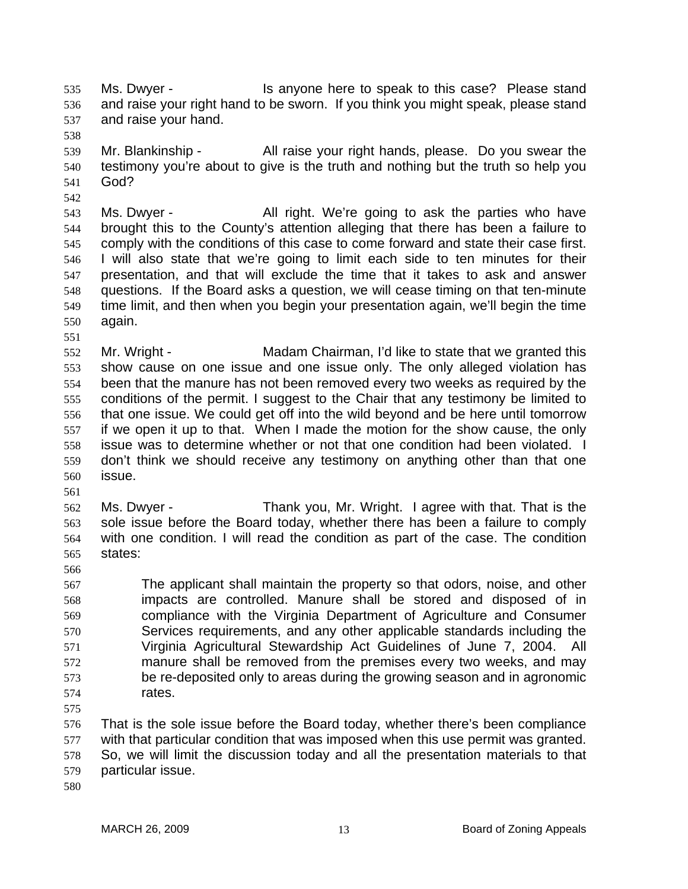Ms. Dwyer - This anyone here to speak to this case? Please stand and raise your right hand to be sworn. If you think you might speak, please stand and raise your hand. 535 536 537

539 540 541 Mr. Blankinship - All raise your right hands, please. Do you swear the testimony you're about to give is the truth and nothing but the truth so help you God?

543 544 545 546 547 548 549 550 Ms. Dwyer - All right. We're going to ask the parties who have brought this to the County's attention alleging that there has been a failure to comply with the conditions of this case to come forward and state their case first. I will also state that we're going to limit each side to ten minutes for their presentation, and that will exclude the time that it takes to ask and answer questions. If the Board asks a question, we will cease timing on that ten-minute time limit, and then when you begin your presentation again, we'll begin the time again.

552 553 554 555 556 557 558 559 560 Mr. Wright - Madam Chairman, I'd like to state that we granted this show cause on one issue and one issue only. The only alleged violation has been that the manure has not been removed every two weeks as required by the conditions of the permit. I suggest to the Chair that any testimony be limited to that one issue. We could get off into the wild beyond and be here until tomorrow if we open it up to that. When I made the motion for the show cause, the only issue was to determine whether or not that one condition had been violated. I don't think we should receive any testimony on anything other than that one issue.

562 563 564 565 Ms. Dwyer - Thank you, Mr. Wright. I agree with that. That is the sole issue before the Board today, whether there has been a failure to comply with one condition. I will read the condition as part of the case. The condition states:

- 567 568 569 570 571 572 573 574 The applicant shall maintain the property so that odors, noise, and other impacts are controlled. Manure shall be stored and disposed of in compliance with the Virginia Department of Agriculture and Consumer Services requirements, and any other applicable standards including the Virginia Agricultural Stewardship Act Guidelines of June 7, 2004. All manure shall be removed from the premises every two weeks, and may be re-deposited only to areas during the growing season and in agronomic rates.
- 575

538

542

551

561

566

576 577 578 579 That is the sole issue before the Board today, whether there's been compliance with that particular condition that was imposed when this use permit was granted. So, we will limit the discussion today and all the presentation materials to that particular issue.

580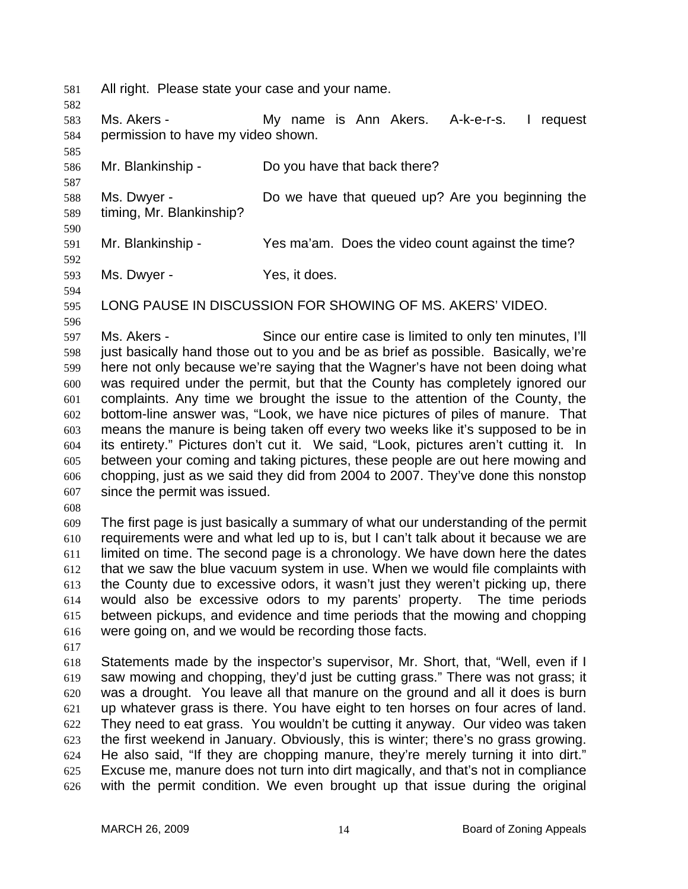581 All right. Please state your case and your name.

583 584 Ms. Akers - My name is Ann Akers. A-k-e-r-s. I request permission to have my video shown.

586 Mr. Blankinship - Do you have that back there?

588 589 Ms. Dwyer - **Do we have that queued up?** Are you beginning the timing, Mr. Blankinship?

591 Mr. Blankinship - Yes ma'am. Does the video count against the time?

592

590

582

585

587

593 Ms. Dwyer - Yes, it does.

594 595 596

LONG PAUSE IN DISCUSSION FOR SHOWING OF MS. AKERS' VIDEO.

597 598 599 600 601 602 603 604 605 606 607 Ms. Akers - Since our entire case is limited to only ten minutes, I'll just basically hand those out to you and be as brief as possible. Basically, we're here not only because we're saying that the Wagner's have not been doing what was required under the permit, but that the County has completely ignored our complaints. Any time we brought the issue to the attention of the County, the bottom-line answer was, "Look, we have nice pictures of piles of manure. That means the manure is being taken off every two weeks like it's supposed to be in its entirety." Pictures don't cut it. We said, "Look, pictures aren't cutting it. In between your coming and taking pictures, these people are out here mowing and chopping, just as we said they did from 2004 to 2007. They've done this nonstop since the permit was issued.

608

609 610 611 612 613 614 615 616 The first page is just basically a summary of what our understanding of the permit requirements were and what led up to is, but I can't talk about it because we are limited on time. The second page is a chronology. We have down here the dates that we saw the blue vacuum system in use. When we would file complaints with the County due to excessive odors, it wasn't just they weren't picking up, there would also be excessive odors to my parents' property. The time periods between pickups, and evidence and time periods that the mowing and chopping were going on, and we would be recording those facts.

617

618 619 620 621 622 623 624 625 626 Statements made by the inspector's supervisor, Mr. Short, that, "Well, even if I saw mowing and chopping, they'd just be cutting grass." There was not grass; it was a drought. You leave all that manure on the ground and all it does is burn up whatever grass is there. You have eight to ten horses on four acres of land. They need to eat grass. You wouldn't be cutting it anyway. Our video was taken the first weekend in January. Obviously, this is winter; there's no grass growing. He also said, "If they are chopping manure, they're merely turning it into dirt." Excuse me, manure does not turn into dirt magically, and that's not in compliance with the permit condition. We even brought up that issue during the original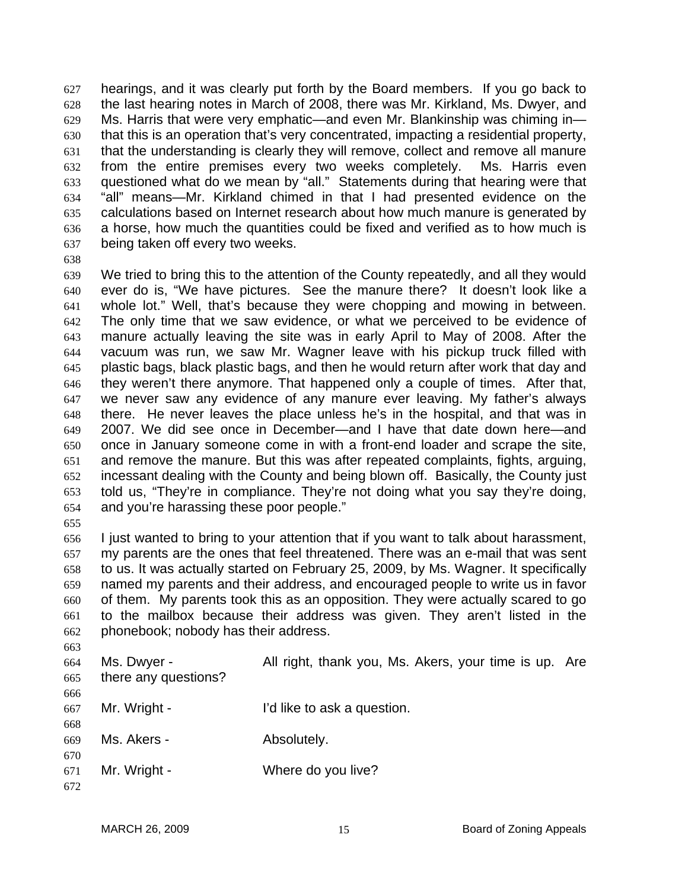hearings, and it was clearly put forth by the Board members. If you go back to the last hearing notes in March of 2008, there was Mr. Kirkland, Ms. Dwyer, and Ms. Harris that were very emphatic—and even Mr. Blankinship was chiming in that this is an operation that's very concentrated, impacting a residential property, that the understanding is clearly they will remove, collect and remove all manure from the entire premises every two weeks completely. Ms. Harris even questioned what do we mean by "all." Statements during that hearing were that "all" means—Mr. Kirkland chimed in that I had presented evidence on the calculations based on Internet research about how much manure is generated by a horse, how much the quantities could be fixed and verified as to how much is being taken off every two weeks. 627 628 629 630 631 632 633 634 635 636 637

638

639 640 641 642 643 644 645 646 647 648 649 650 651 652 653 654 We tried to bring this to the attention of the County repeatedly, and all they would ever do is, "We have pictures. See the manure there? It doesn't look like a whole lot." Well, that's because they were chopping and mowing in between. The only time that we saw evidence, or what we perceived to be evidence of manure actually leaving the site was in early April to May of 2008. After the vacuum was run, we saw Mr. Wagner leave with his pickup truck filled with plastic bags, black plastic bags, and then he would return after work that day and they weren't there anymore. That happened only a couple of times. After that, we never saw any evidence of any manure ever leaving. My father's always there. He never leaves the place unless he's in the hospital, and that was in 2007. We did see once in December—and I have that date down here—and once in January someone come in with a front-end loader and scrape the site, and remove the manure. But this was after repeated complaints, fights, arguing, incessant dealing with the County and being blown off. Basically, the County just told us, "They're in compliance. They're not doing what you say they're doing, and you're harassing these poor people."

655

656 657 658 659 660 661 662 I just wanted to bring to your attention that if you want to talk about harassment, my parents are the ones that feel threatened. There was an e-mail that was sent to us. It was actually started on February 25, 2009, by Ms. Wagner. It specifically named my parents and their address, and encouraged people to write us in favor of them. My parents took this as an opposition. They were actually scared to go to the mailbox because their address was given. They aren't listed in the phonebook; nobody has their address.

663 664 665 666 667 668 669 670 671 672 Ms. Dwyer - The All right, thank you, Ms. Akers, your time is up. Are there any questions? Mr. Wright - The I'd like to ask a question. Ms. Akers - The Absolutely. Mr. Wright - Where do you live?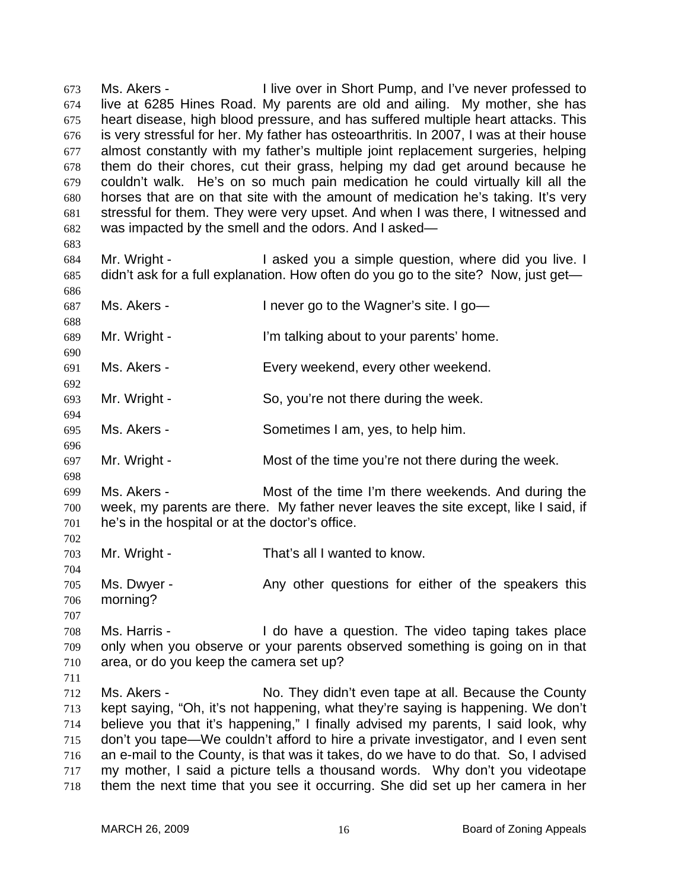Ms. Akers - The Unive over in Short Pump, and I've never professed to live at 6285 Hines Road. My parents are old and ailing. My mother, she has heart disease, high blood pressure, and has suffered multiple heart attacks. This is very stressful for her. My father has osteoarthritis. In 2007, I was at their house almost constantly with my father's multiple joint replacement surgeries, helping them do their chores, cut their grass, helping my dad get around because he couldn't walk. He's on so much pain medication he could virtually kill all the horses that are on that site with the amount of medication he's taking. It's very stressful for them. They were very upset. And when I was there, I witnessed and was impacted by the smell and the odors. And I asked— 673 674 675 676 677 678 679 680 681 682 683 684 685 686 687 688 689 690 691 692 693 694 695 696 697 698 699 700 701 702 703 704 705 706 707 708 709 710 711 712 713 714 715 716 717 718 Mr. Wright - The Saked you a simple question, where did you live. I didn't ask for a full explanation. How often do you go to the site? Now, just get— Ms. Akers - I never go to the Wagner's site. I go— Mr. Wright - I'm talking about to your parents' home. Ms. Akers - Every weekend, every other weekend. Mr. Wright - So, you're not there during the week. Ms. Akers - Sometimes I am, yes, to help him. Mr. Wright - The Most of the time you're not there during the week. Ms. Akers - Most of the time I'm there weekends. And during the week, my parents are there. My father never leaves the site except, like I said, if he's in the hospital or at the doctor's office. Mr. Wright - That's all I wanted to know. Ms. Dwyer - The Any other questions for either of the speakers this morning? Ms. Harris - I do have a question. The video taping takes place only when you observe or your parents observed something is going on in that area, or do you keep the camera set up? Ms. Akers - No. They didn't even tape at all. Because the County kept saying, "Oh, it's not happening, what they're saying is happening. We don't believe you that it's happening," I finally advised my parents, I said look, why don't you tape—We couldn't afford to hire a private investigator, and I even sent an e-mail to the County, is that was it takes, do we have to do that. So, I advised my mother, I said a picture tells a thousand words. Why don't you videotape them the next time that you see it occurring. She did set up her camera in her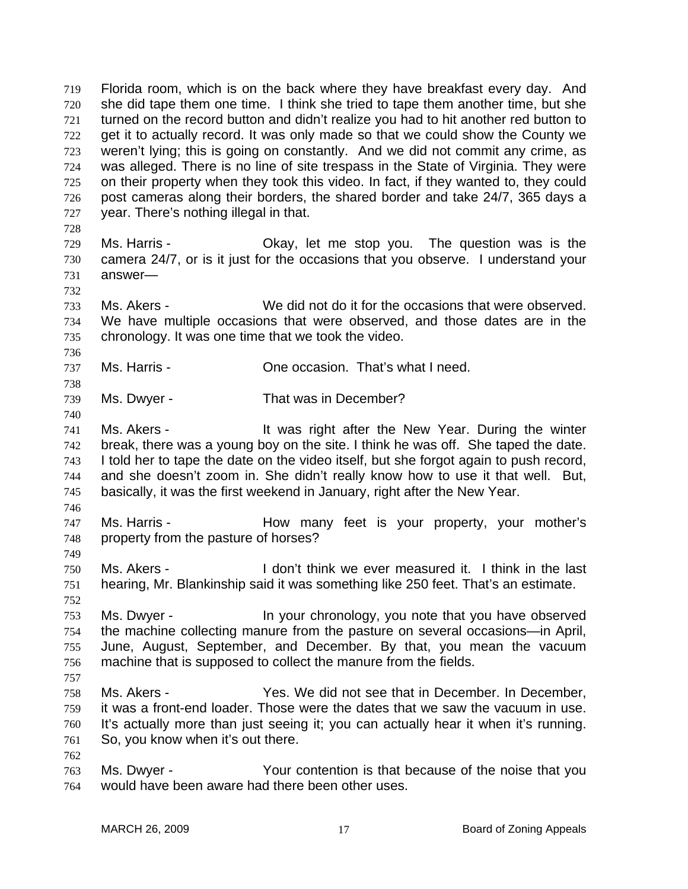Florida room, which is on the back where they have breakfast every day. And she did tape them one time. I think she tried to tape them another time, but she turned on the record button and didn't realize you had to hit another red button to get it to actually record. It was only made so that we could show the County we weren't lying; this is going on constantly. And we did not commit any crime, as was alleged. There is no line of site trespass in the State of Virginia. They were on their property when they took this video. In fact, if they wanted to, they could post cameras along their borders, the shared border and take 24/7, 365 days a year. There's nothing illegal in that. 719 720 721 722 723 724 725 726 727 728 729 730 731 732 733 734 735 736 737 738 739 740 741 742 743 744 745 746 747 748 749 750 751 752 753 754 755 756 757 758 759 760 761 762 763 764 Ms. Harris - Okay, let me stop you. The question was is the camera 24/7, or is it just for the occasions that you observe. I understand your answer— Ms. Akers - We did not do it for the occasions that were observed. We have multiple occasions that were observed, and those dates are in the chronology. It was one time that we took the video. Ms. Harris - One occasion. That's what I need. Ms. Dwyer - That was in December? Ms. Akers - The Mexican external it was right after the New Year. During the winter break, there was a young boy on the site. I think he was off. She taped the date. I told her to tape the date on the video itself, but she forgot again to push record, and she doesn't zoom in. She didn't really know how to use it that well. But, basically, it was the first weekend in January, right after the New Year. Ms. Harris - The How many feet is your property, your mother's property from the pasture of horses? Ms. Akers - I don't think we ever measured it. I think in the last hearing, Mr. Blankinship said it was something like 250 feet. That's an estimate. Ms. Dwyer - In your chronology, you note that you have observed the machine collecting manure from the pasture on several occasions—in April, June, August, September, and December. By that, you mean the vacuum machine that is supposed to collect the manure from the fields. Ms. Akers - Yes. We did not see that in December. In December, it was a front-end loader. Those were the dates that we saw the vacuum in use. It's actually more than just seeing it; you can actually hear it when it's running. So, you know when it's out there. Ms. Dwyer - Your contention is that because of the noise that you would have been aware had there been other uses.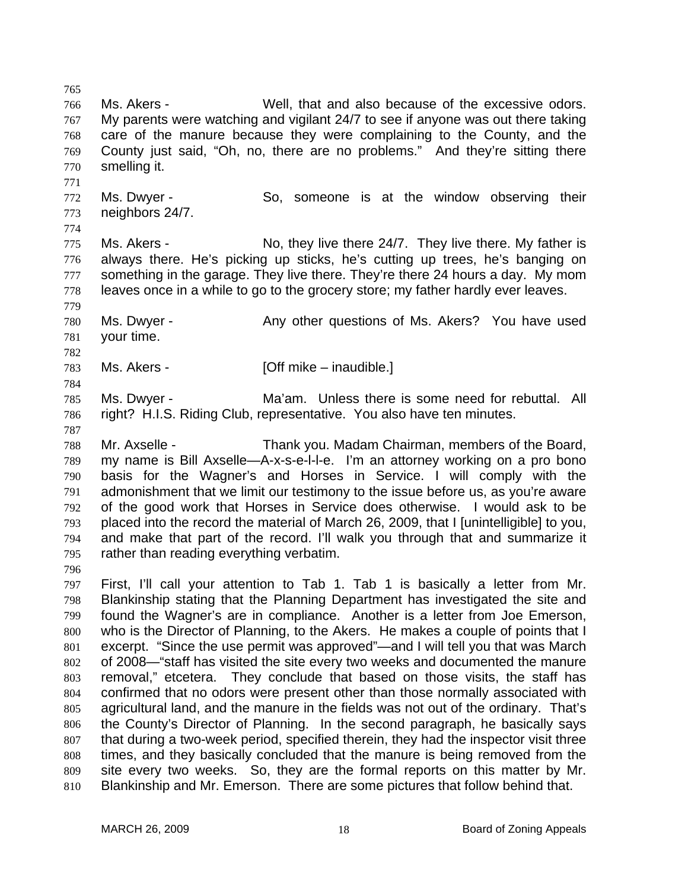766 767 768 769 770 771 772 773 774 775 776 777 778 779 780 781 782 783 784 785 786 787 788 789 790 791 792 793 794 795 796 797 798 799 800 801 802 803 804 805 806 807 808 Ms. Akers - Well, that and also because of the excessive odors. My parents were watching and vigilant 24/7 to see if anyone was out there taking care of the manure because they were complaining to the County, and the County just said, "Oh, no, there are no problems." And they're sitting there smelling it. Ms. Dwyer - So, someone is at the window observing their neighbors 24/7. Ms. Akers - No, they live there 24/7. They live there. My father is always there. He's picking up sticks, he's cutting up trees, he's banging on something in the garage. They live there. They're there 24 hours a day. My mom leaves once in a while to go to the grocery store; my father hardly ever leaves. Ms. Dwyer - Any other questions of Ms. Akers? You have used your time. Ms. Akers - **[Off mike – inaudible.]** Ms. Dwyer - Ma'am. Unless there is some need for rebuttal. All right? H.I.S. Riding Club, representative. You also have ten minutes. Mr. Axselle - Thank you. Madam Chairman, members of the Board, my name is Bill Axselle—A-x-s-e-l-l-e. I'm an attorney working on a pro bono basis for the Wagner's and Horses in Service. I will comply with the admonishment that we limit our testimony to the issue before us, as you're aware of the good work that Horses in Service does otherwise. I would ask to be placed into the record the material of March 26, 2009, that I [unintelligible] to you, and make that part of the record. I'll walk you through that and summarize it rather than reading everything verbatim. First, I'll call your attention to Tab 1. Tab 1 is basically a letter from Mr. Blankinship stating that the Planning Department has investigated the site and found the Wagner's are in compliance. Another is a letter from Joe Emerson, who is the Director of Planning, to the Akers. He makes a couple of points that I excerpt. "Since the use permit was approved"—and I will tell you that was March of 2008—"staff has visited the site every two weeks and documented the manure removal," etcetera. They conclude that based on those visits, the staff has confirmed that no odors were present other than those normally associated with agricultural land, and the manure in the fields was not out of the ordinary. That's the County's Director of Planning. In the second paragraph, he basically says that during a two-week period, specified therein, they had the inspector visit three times, and they basically concluded that the manure is being removed from the

809 810 site every two weeks. So, they are the formal reports on this matter by Mr. Blankinship and Mr. Emerson. There are some pictures that follow behind that.

765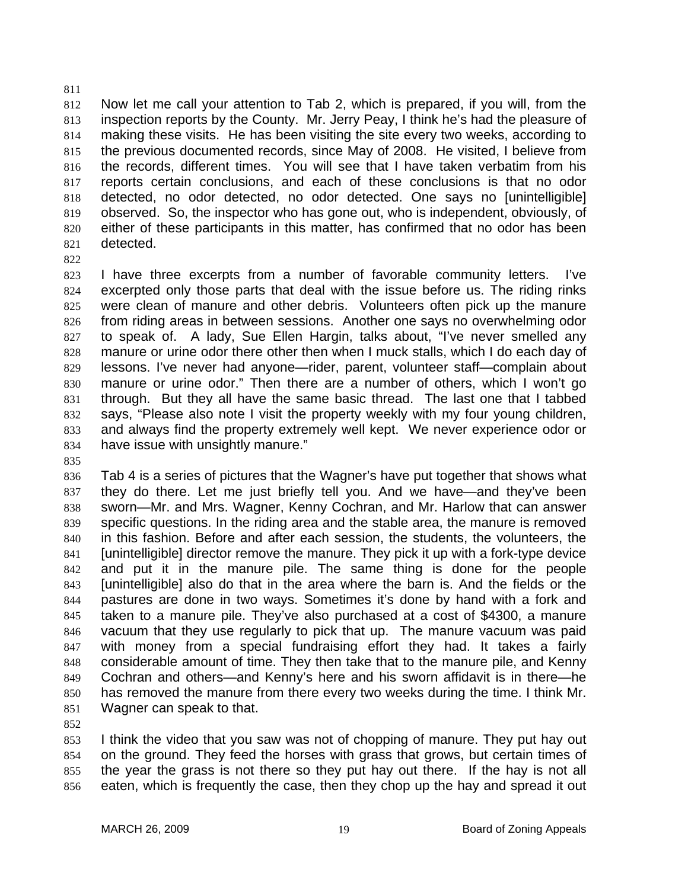812 813 814 815 816 817 818 819 820 821 Now let me call your attention to Tab 2, which is prepared, if you will, from the inspection reports by the County. Mr. Jerry Peay, I think he's had the pleasure of making these visits. He has been visiting the site every two weeks, according to the previous documented records, since May of 2008. He visited, I believe from the records, different times. You will see that I have taken verbatim from his reports certain conclusions, and each of these conclusions is that no odor detected, no odor detected, no odor detected. One says no [unintelligible] observed. So, the inspector who has gone out, who is independent, obviously, of either of these participants in this matter, has confirmed that no odor has been detected.

822

811

823 824 825 826 827 828 829 830 831 832 833 834 I have three excerpts from a number of favorable community letters. I've excerpted only those parts that deal with the issue before us. The riding rinks were clean of manure and other debris. Volunteers often pick up the manure from riding areas in between sessions. Another one says no overwhelming odor to speak of. A lady, Sue Ellen Hargin, talks about, "I've never smelled any manure or urine odor there other then when I muck stalls, which I do each day of lessons. I've never had anyone—rider, parent, volunteer staff—complain about manure or urine odor." Then there are a number of others, which I won't go through. But they all have the same basic thread. The last one that I tabbed says, "Please also note I visit the property weekly with my four young children, and always find the property extremely well kept. We never experience odor or have issue with unsightly manure."

835

836 837 838 839 840 841 842 843 844 845 846 847 848 849 850 851 Tab 4 is a series of pictures that the Wagner's have put together that shows what they do there. Let me just briefly tell you. And we have—and they've been sworn—Mr. and Mrs. Wagner, Kenny Cochran, and Mr. Harlow that can answer specific questions. In the riding area and the stable area, the manure is removed in this fashion. Before and after each session, the students, the volunteers, the [unintelligible] director remove the manure. They pick it up with a fork-type device and put it in the manure pile. The same thing is done for the people [unintelligible] also do that in the area where the barn is. And the fields or the pastures are done in two ways. Sometimes it's done by hand with a fork and taken to a manure pile. They've also purchased at a cost of \$4300, a manure vacuum that they use regularly to pick that up. The manure vacuum was paid with money from a special fundraising effort they had. It takes a fairly considerable amount of time. They then take that to the manure pile, and Kenny Cochran and others—and Kenny's here and his sworn affidavit is in there—he has removed the manure from there every two weeks during the time. I think Mr. Wagner can speak to that.

852

853 854 855 856 I think the video that you saw was not of chopping of manure. They put hay out on the ground. They feed the horses with grass that grows, but certain times of the year the grass is not there so they put hay out there. If the hay is not all eaten, which is frequently the case, then they chop up the hay and spread it out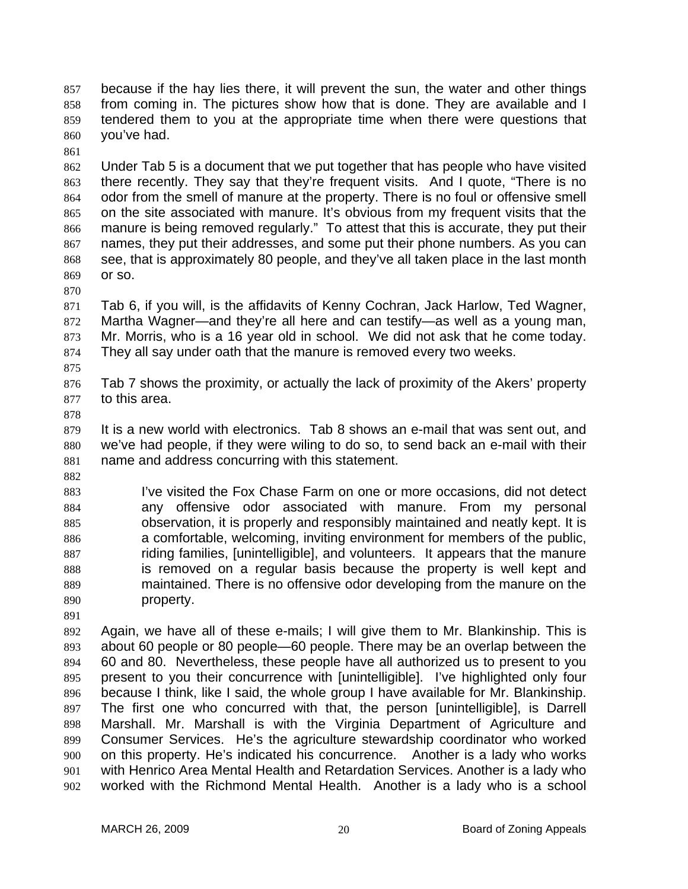because if the hay lies there, it will prevent the sun, the water and other things from coming in. The pictures show how that is done. They are available and I tendered them to you at the appropriate time when there were questions that you've had. 857 858 859 860

861

862 863 864 865 866 867 868 869 Under Tab 5 is a document that we put together that has people who have visited there recently. They say that they're frequent visits. And I quote, "There is no odor from the smell of manure at the property. There is no foul or offensive smell on the site associated with manure. It's obvious from my frequent visits that the manure is being removed regularly." To attest that this is accurate, they put their names, they put their addresses, and some put their phone numbers. As you can see, that is approximately 80 people, and they've all taken place in the last month or so.

871 872 873 874 Tab 6, if you will, is the affidavits of Kenny Cochran, Jack Harlow, Ted Wagner, Martha Wagner—and they're all here and can testify—as well as a young man, Mr. Morris, who is a 16 year old in school. We did not ask that he come today. They all say under oath that the manure is removed every two weeks.

876 877 Tab 7 shows the proximity, or actually the lack of proximity of the Akers' property to this area.

878

882

875

870

879 880 881 It is a new world with electronics. Tab 8 shows an e-mail that was sent out, and we've had people, if they were wiling to do so, to send back an e-mail with their name and address concurring with this statement.

883 884 885 886 887 888 889 890 I've visited the Fox Chase Farm on one or more occasions, did not detect any offensive odor associated with manure. From my personal observation, it is properly and responsibly maintained and neatly kept. It is a comfortable, welcoming, inviting environment for members of the public, riding families, [unintelligible], and volunteers. It appears that the manure is removed on a regular basis because the property is well kept and maintained. There is no offensive odor developing from the manure on the property.

891

892 893 894 895 896 897 898 899 900 901 902 Again, we have all of these e-mails; I will give them to Mr. Blankinship. This is about 60 people or 80 people—60 people. There may be an overlap between the 60 and 80. Nevertheless, these people have all authorized us to present to you present to you their concurrence with [unintelligible]. I've highlighted only four because I think, like I said, the whole group I have available for Mr. Blankinship. The first one who concurred with that, the person [unintelligible], is Darrell Marshall. Mr. Marshall is with the Virginia Department of Agriculture and Consumer Services. He's the agriculture stewardship coordinator who worked on this property. He's indicated his concurrence. Another is a lady who works with Henrico Area Mental Health and Retardation Services. Another is a lady who worked with the Richmond Mental Health. Another is a lady who is a school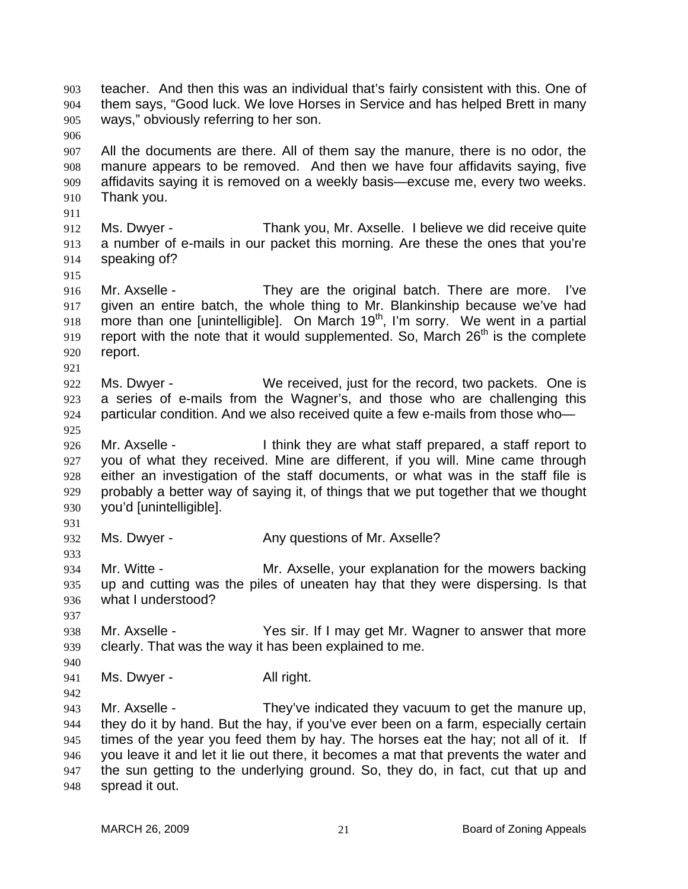teacher. And then this was an individual that's fairly consistent with this. One of them says, "Good luck. We love Horses in Service and has helped Brett in many ways," obviously referring to her son. 903 904 905 906 907 908 909 910 911 912 913 914 915 916 917 918 919 920 921 922 923 924 925 926 927 928 929 930 931 932 933 934 935 936 937 938 939 940 941 942 943 944 945 946 947 948 All the documents are there. All of them say the manure, there is no odor, the manure appears to be removed. And then we have four affidavits saying, five affidavits saying it is removed on a weekly basis—excuse me, every two weeks. Thank you. Ms. Dwyer - Thank you, Mr. Axselle. I believe we did receive quite a number of e-mails in our packet this morning. Are these the ones that you're speaking of? Mr. Axselle - They are the original batch. There are more. I've given an entire batch, the whole thing to Mr. Blankinship because we've had more than one [unintelligible]. On March  $19<sup>th</sup>$ , I'm sorry. We went in a partial report with the note that it would supplemented. So, March  $26<sup>th</sup>$  is the complete report. Ms. Dwyer - We received, just for the record, two packets. One is a series of e-mails from the Wagner's, and those who are challenging this particular condition. And we also received quite a few e-mails from those who— Mr. Axselle - Think they are what staff prepared, a staff report to you of what they received. Mine are different, if you will. Mine came through either an investigation of the staff documents, or what was in the staff file is probably a better way of saying it, of things that we put together that we thought you'd [unintelligible]. Ms. Dwyer - Any questions of Mr. Axselle? Mr. Witte - Mr. Axselle, your explanation for the mowers backing up and cutting was the piles of uneaten hay that they were dispersing. Is that what I understood? Mr. Axselle - Yes sir. If I may get Mr. Wagner to answer that more clearly. That was the way it has been explained to me. Ms. Dwyer - All right. Mr. Axselle - They've indicated they vacuum to get the manure up, they do it by hand. But the hay, if you've ever been on a farm, especially certain times of the year you feed them by hay. The horses eat the hay; not all of it. If you leave it and let it lie out there, it becomes a mat that prevents the water and the sun getting to the underlying ground. So, they do, in fact, cut that up and spread it out.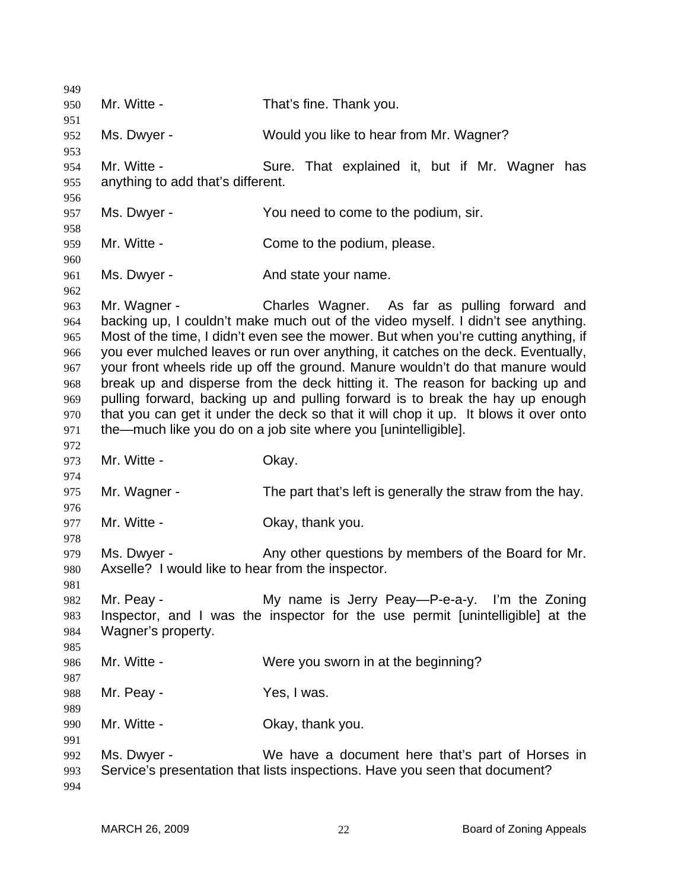| 949        |                                                                                                                                                                       |                                                                                     |
|------------|-----------------------------------------------------------------------------------------------------------------------------------------------------------------------|-------------------------------------------------------------------------------------|
| 950        | Mr. Witte -                                                                                                                                                           | That's fine. Thank you.                                                             |
| 951        |                                                                                                                                                                       |                                                                                     |
| 952        | Ms. Dwyer -                                                                                                                                                           | Would you like to hear from Mr. Wagner?                                             |
| 953        |                                                                                                                                                                       |                                                                                     |
| 954        | Mr. Witte -                                                                                                                                                           | Sure. That explained it, but if Mr. Wagner has                                      |
| 955        | anything to add that's different.                                                                                                                                     |                                                                                     |
| 956        |                                                                                                                                                                       |                                                                                     |
| 957        | Ms. Dwyer -                                                                                                                                                           | You need to come to the podium, sir.                                                |
| 958        |                                                                                                                                                                       |                                                                                     |
| 959        | Mr. Witte -                                                                                                                                                           | Come to the podium, please.                                                         |
| 960        |                                                                                                                                                                       |                                                                                     |
| 961        | Ms. Dwyer -                                                                                                                                                           | And state your name.                                                                |
| 962        |                                                                                                                                                                       | Charles Wagner. As far as pulling forward and                                       |
| 963        | Mr. Wagner -                                                                                                                                                          | backing up, I couldn't make much out of the video myself. I didn't see anything.    |
| 964<br>965 |                                                                                                                                                                       | Most of the time, I didn't even see the mower. But when you're cutting anything, if |
| 966        |                                                                                                                                                                       | you ever mulched leaves or run over anything, it catches on the deck. Eventually,   |
| 967        |                                                                                                                                                                       |                                                                                     |
| 968        | your front wheels ride up off the ground. Manure wouldn't do that manure would<br>break up and disperse from the deck hitting it. The reason for backing up and       |                                                                                     |
| 969        |                                                                                                                                                                       |                                                                                     |
| 970        | pulling forward, backing up and pulling forward is to break the hay up enough<br>that you can get it under the deck so that it will chop it up. It blows it over onto |                                                                                     |
| 971        |                                                                                                                                                                       | the—much like you do on a job site where you [unintelligible].                      |
| 972        |                                                                                                                                                                       |                                                                                     |
| 973        | Mr. Witte -                                                                                                                                                           | Okay.                                                                               |
| 974        |                                                                                                                                                                       |                                                                                     |
| 975        | Mr. Wagner -                                                                                                                                                          | The part that's left is generally the straw from the hay.                           |
| 976        |                                                                                                                                                                       |                                                                                     |
| 977        | Mr. Witte -                                                                                                                                                           | Okay, thank you.                                                                    |
| 978        |                                                                                                                                                                       |                                                                                     |
| 979        | Ms. Dwyer -                                                                                                                                                           | Any other questions by members of the Board for Mr.                                 |
| 980        | Axselle? I would like to hear from the inspector.                                                                                                                     |                                                                                     |
| 981        |                                                                                                                                                                       |                                                                                     |
| 982        | Mr. Peay -                                                                                                                                                            | My name is Jerry Peay—P-e-a-y. I'm the Zoning                                       |
| 983        |                                                                                                                                                                       | Inspector, and I was the inspector for the use permit [unintelligible] at the       |
| 984        | Wagner's property.                                                                                                                                                    |                                                                                     |
| 985        |                                                                                                                                                                       |                                                                                     |
| 986        | Mr. Witte -                                                                                                                                                           | Were you sworn in at the beginning?                                                 |
| 987        |                                                                                                                                                                       |                                                                                     |
| 988        | Mr. Peay -                                                                                                                                                            | Yes, I was.                                                                         |
| 989        |                                                                                                                                                                       |                                                                                     |
| 990        | Mr. Witte -                                                                                                                                                           | Okay, thank you.                                                                    |
| 991        |                                                                                                                                                                       |                                                                                     |
| 992        | Ms. Dwyer -                                                                                                                                                           | We have a document here that's part of Horses in                                    |
| 993        |                                                                                                                                                                       | Service's presentation that lists inspections. Have you seen that document?         |
| 994        |                                                                                                                                                                       |                                                                                     |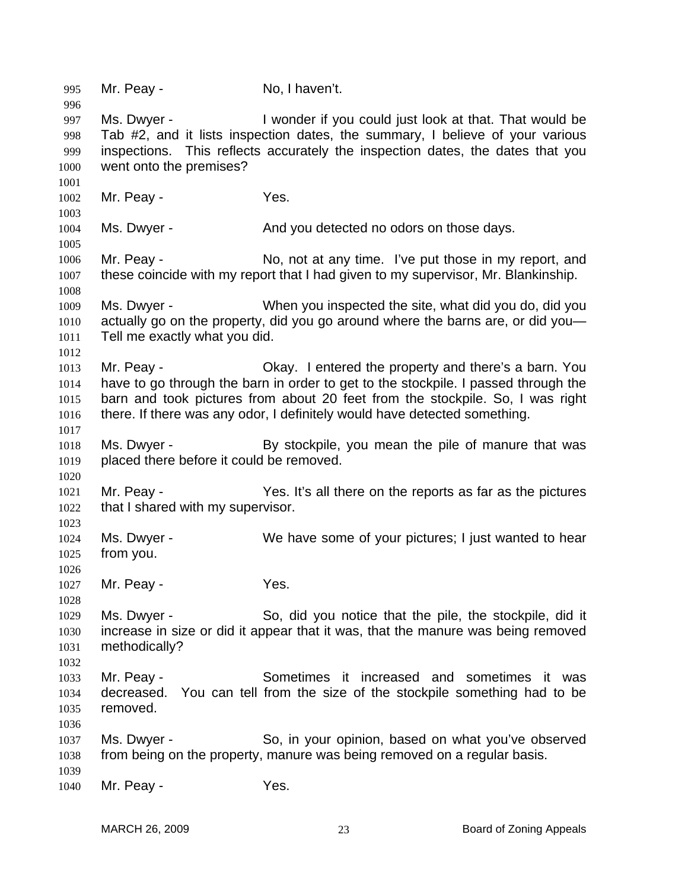995 Mr. Peay - No, I haven't. 996 997 998 999 1000 1001 1002 1003 1004 1005 1006 1007 1008 1009 1010 1011 1012 1013 1014 1015 1016 1017 1018 1019 1020 1021 1022 1023 1024 1025 1026 1027 1028 1029 1030 1031 1032 1033 1034 1035 1036 1037 1038 1039 1040 Ms. Dwyer - I wonder if you could just look at that. That would be Tab #2, and it lists inspection dates, the summary, I believe of your various inspections. This reflects accurately the inspection dates, the dates that you went onto the premises? Mr. Peay - The Mes. Ms. Dwyer - The And you detected no odors on those days. Mr. Peay - No, not at any time. I've put those in my report, and these coincide with my report that I had given to my supervisor, Mr. Blankinship. Ms. Dwyer - When you inspected the site, what did you do, did you actually go on the property, did you go around where the barns are, or did you— Tell me exactly what you did. Mr. Peay - Okay. I entered the property and there's a barn. You have to go through the barn in order to get to the stockpile. I passed through the barn and took pictures from about 20 feet from the stockpile. So, I was right there. If there was any odor, I definitely would have detected something. Ms. Dwyer - By stockpile, you mean the pile of manure that was placed there before it could be removed. Mr. Peay - Yes. It's all there on the reports as far as the pictures that I shared with my supervisor. Ms. Dwyer - We have some of your pictures; I just wanted to hear from you. Mr. Peay - The Mes. Ms. Dwyer - So, did you notice that the pile, the stockpile, did it increase in size or did it appear that it was, that the manure was being removed methodically? Mr. Peav - Sometimes it increased and sometimes it was decreased. You can tell from the size of the stockpile something had to be removed. Ms. Dwyer - So, in your opinion, based on what you've observed from being on the property, manure was being removed on a regular basis. Mr. Peay - The Yes.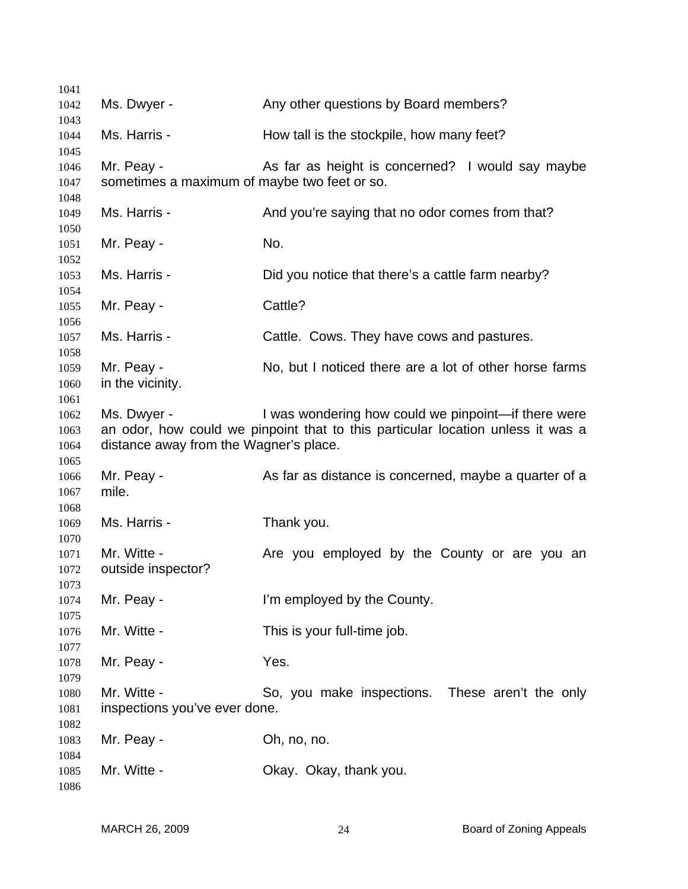| 1041         |                                              |                                                                                 |  |
|--------------|----------------------------------------------|---------------------------------------------------------------------------------|--|
| 1042         | Ms. Dwyer -                                  | Any other questions by Board members?                                           |  |
| 1043         |                                              |                                                                                 |  |
| 1044         | Ms. Harris -                                 | How tall is the stockpile, how many feet?                                       |  |
| 1045         |                                              |                                                                                 |  |
| 1046         | Mr. Peay -                                   | As far as height is concerned? I would say maybe                                |  |
| 1047         | sometimes a maximum of maybe two feet or so. |                                                                                 |  |
| 1048         |                                              |                                                                                 |  |
| 1049         | Ms. Harris -                                 | And you're saying that no odor comes from that?                                 |  |
| 1050         |                                              |                                                                                 |  |
| 1051         | Mr. Peay -                                   | No.                                                                             |  |
| 1052         |                                              |                                                                                 |  |
| 1053         | Ms. Harris -                                 | Did you notice that there's a cattle farm nearby?                               |  |
| 1054         |                                              | Cattle?                                                                         |  |
| 1055         | Mr. Peay -                                   |                                                                                 |  |
| 1056<br>1057 | Ms. Harris -                                 | Cattle. Cows. They have cows and pastures.                                      |  |
| 1058         |                                              |                                                                                 |  |
| 1059         | Mr. Peay -                                   | No, but I noticed there are a lot of other horse farms                          |  |
| 1060         | in the vicinity.                             |                                                                                 |  |
| 1061         |                                              |                                                                                 |  |
| 1062         | Ms. Dwyer -                                  | I was wondering how could we pinpoint-if there were                             |  |
| 1063         |                                              | an odor, how could we pinpoint that to this particular location unless it was a |  |
| 1064         | distance away from the Wagner's place.       |                                                                                 |  |
| 1065         |                                              |                                                                                 |  |
| 1066         | Mr. Peay -                                   | As far as distance is concerned, maybe a quarter of a                           |  |
| 1067         | mile.                                        |                                                                                 |  |
| 1068         |                                              |                                                                                 |  |
| 1069         | Ms. Harris -                                 | Thank you.                                                                      |  |
| 1070         |                                              |                                                                                 |  |
| 1071         | Mr. Witte -                                  | Are you employed by the County or are you an                                    |  |
| 1072         | outside inspector?                           |                                                                                 |  |
| 1073         |                                              |                                                                                 |  |
| 1074         | Mr. Peay -                                   | I'm employed by the County.                                                     |  |
| 1075         |                                              |                                                                                 |  |
| 1076         | Mr. Witte -                                  | This is your full-time job.                                                     |  |
| 1077<br>1078 | Mr. Peay -                                   | Yes.                                                                            |  |
| 1079         |                                              |                                                                                 |  |
| 1080         | Mr. Witte -                                  | So, you make inspections. These aren't the only                                 |  |
| 1081         | inspections you've ever done.                |                                                                                 |  |
| 1082         |                                              |                                                                                 |  |
| 1083         | Mr. Peay -                                   | Oh, no, no.                                                                     |  |
| 1084         |                                              |                                                                                 |  |
| 1085         | Mr. Witte -                                  | Okay. Okay, thank you.                                                          |  |
| 1086         |                                              |                                                                                 |  |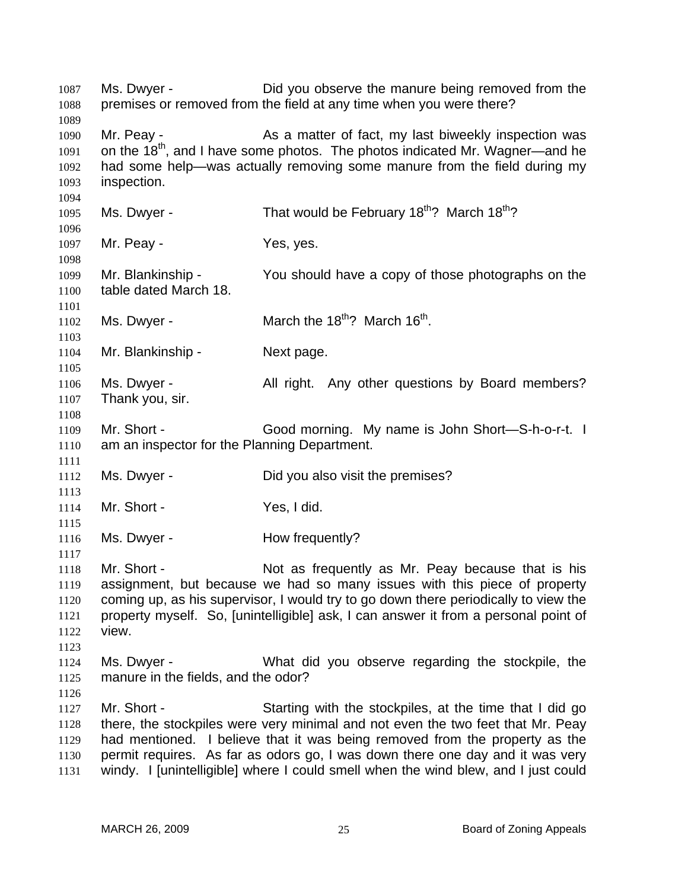Ms. Dwyer - **Did you observe the manure being removed from the** premises or removed from the field at any time when you were there? 1087 1088 1089 1090 1091 1092 1093 1094 1095 1096 1097 1098 1099 1100 1101 1102 1103 1104 1105 1106 1107 1108 1109 1110 1111 1112 1113 1114 1115 1116 1117 1118 1119 1120 1121 1122 1123 1124 1125 1126 1127 1128 1129 1130 1131 Mr. Peay - The As a matter of fact, my last biweekly inspection was on the 18<sup>th</sup>, and I have some photos. The photos indicated Mr. Wagner—and he had some help—was actually removing some manure from the field during my inspection. Ms. Dwyer - That would be February  $18<sup>th</sup>$ ? March  $18<sup>th</sup>$ ? Mr. Peay - Yes, yes. Mr. Blankinship - You should have a copy of those photographs on the table dated March 18. Ms. Dwyer -  $\mu$  March the 18<sup>th</sup>? March 16<sup>th</sup>. Mr. Blankinship - Next page. Ms. Dwyer - All right. Any other questions by Board members? Thank you, sir. Mr. Short - Good morning. My name is John Short—S-h-o-r-t. I am an inspector for the Planning Department. Ms. Dwyer - Did you also visit the premises? Mr. Short - Yes, I did. Ms. Dwyer - How frequently? Mr. Short - Not as frequently as Mr. Peay because that is his assignment, but because we had so many issues with this piece of property coming up, as his supervisor, I would try to go down there periodically to view the property myself. So, [unintelligible] ask, I can answer it from a personal point of view. Ms. Dwyer - What did you observe regarding the stockpile, the manure in the fields, and the odor? Mr. Short - Starting with the stockpiles, at the time that I did go there, the stockpiles were very minimal and not even the two feet that Mr. Peay had mentioned. I believe that it was being removed from the property as the permit requires. As far as odors go, I was down there one day and it was very windy. I [unintelligible] where I could smell when the wind blew, and I just could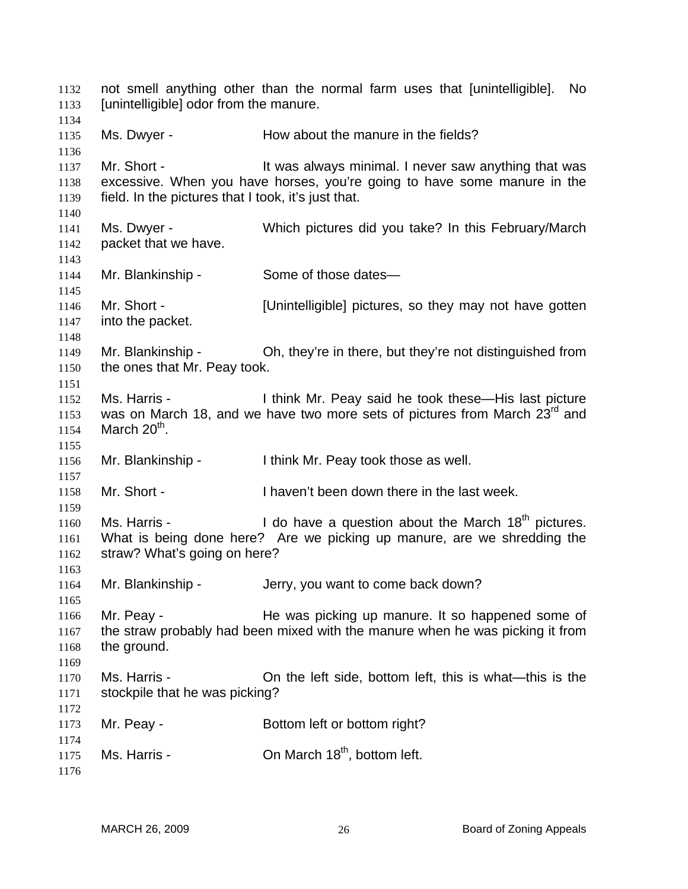not smell anything other than the normal farm uses that [unintelligible]. No [unintelligible] odor from the manure. 1132 1133 1134 1135 1136 1137 1138 1139 1140 1141 1142 1143 1144 1145 1146 1147 1148 1149 1150 1151 1152 1153 1154 1155 1156 1157 1158 1159 1160 1161 1162 1163 1164 1165 1166 1167 1168 1169 1170 1171 1172 1173 1174 1175 1176 Ms. Dwyer - The Mow about the manure in the fields? Mr. Short - It was always minimal. I never saw anything that was excessive. When you have horses, you're going to have some manure in the field. In the pictures that I took, it's just that. Ms. Dwyer - Which pictures did you take? In this February/March packet that we have. Mr. Blankinship - Some of those dates— Mr. Short - **Example 1** [Unintelligible] pictures, so they may not have gotten into the packet. Mr. Blankinship - Oh, they're in there, but they're not distinguished from the ones that Mr. Peay took. Ms. Harris - Think Mr. Peay said he took these—His last picture was on March 18, and we have two more sets of pictures from March  $23^{\text{rd}}$  and March  $20<sup>th</sup>$ . Mr. Blankinship - I think Mr. Peay took those as well. Mr. Short - Thaven't been down there in the last week. Ms. Harris -  $\blacksquare$  I do have a question about the March 18<sup>th</sup> pictures. What is being done here? Are we picking up manure, are we shredding the straw? What's going on here? Mr. Blankinship - Jerry, you want to come back down? Mr. Peay - The was picking up manure. It so happened some of the straw probably had been mixed with the manure when he was picking it from the ground. Ms. Harris - On the left side, bottom left, this is what—this is the stockpile that he was picking? Mr. Peay - Bottom left or bottom right? Ms. Harris -  $\sim$  On March 18<sup>th</sup>, bottom left.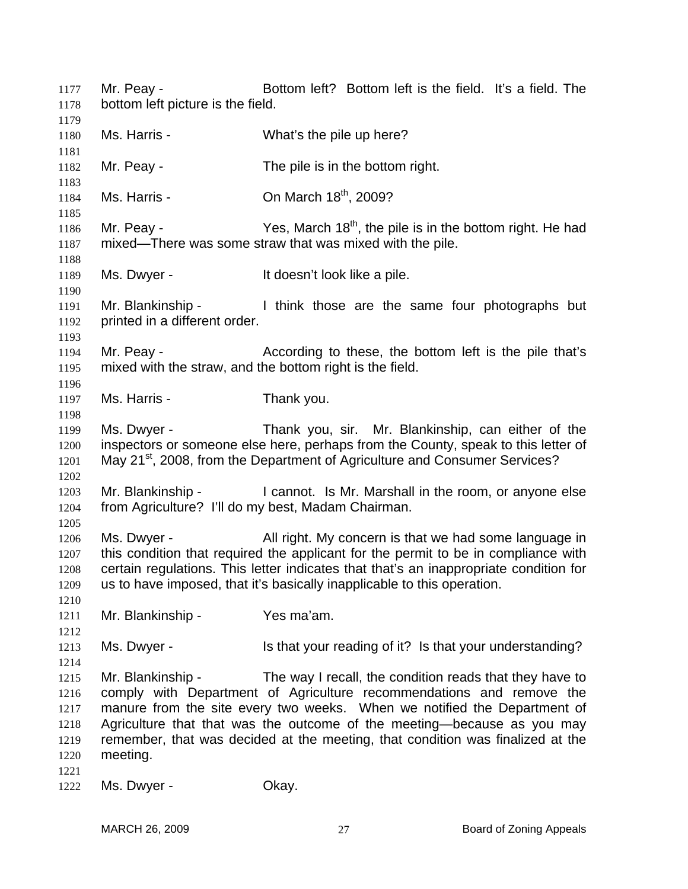Mr. Peay - Bottom left? Bottom left is the field. It's a field. The bottom left picture is the field. 1177 1178 1179 1180 1181 1182 1183 1184 1185 1186 1187 1188 1189 1190 1191 1192 1193 1194 1195 1196 1197 1198 1199 1200 1201 1202 1203 1204 1205 1206 1207 1208 1209 1210 1211 1212 1213 1214 1215 1216 1217 1218 1219 1220 1221 1222 Ms. Harris - What's the pile up here? Mr. Peay - The pile is in the bottom right. Ms. Harris -  $\sim$  On March 18<sup>th</sup>, 2009? Mr. Peay - Yes, March  $18<sup>th</sup>$ , the pile is in the bottom right. He had mixed—There was some straw that was mixed with the pile. Ms. Dwyer - The Music of the Unit doesn't look like a pile. Mr. Blankinship - I think those are the same four photographs but printed in a different order. Mr. Peay - According to these, the bottom left is the pile that's mixed with the straw, and the bottom right is the field. Ms. Harris - Thank you. Ms. Dwyer - Thank you, sir. Mr. Blankinship, can either of the inspectors or someone else here, perhaps from the County, speak to this letter of May 21<sup>st</sup>, 2008, from the Department of Agriculture and Consumer Services? Mr. Blankinship - The annot. Is Mr. Marshall in the room, or anyone else from Agriculture? I'll do my best, Madam Chairman. Ms. Dwyer - All right. My concern is that we had some language in this condition that required the applicant for the permit to be in compliance with certain regulations. This letter indicates that that's an inappropriate condition for us to have imposed, that it's basically inapplicable to this operation. Mr. Blankinship - Yes ma'am. Ms. Dwyer - Is that your reading of it? Is that your understanding? Mr. Blankinship - The way I recall, the condition reads that they have to comply with Department of Agriculture recommendations and remove the manure from the site every two weeks. When we notified the Department of Agriculture that that was the outcome of the meeting—because as you may remember, that was decided at the meeting, that condition was finalized at the meeting. Ms. Dwyer - Chay.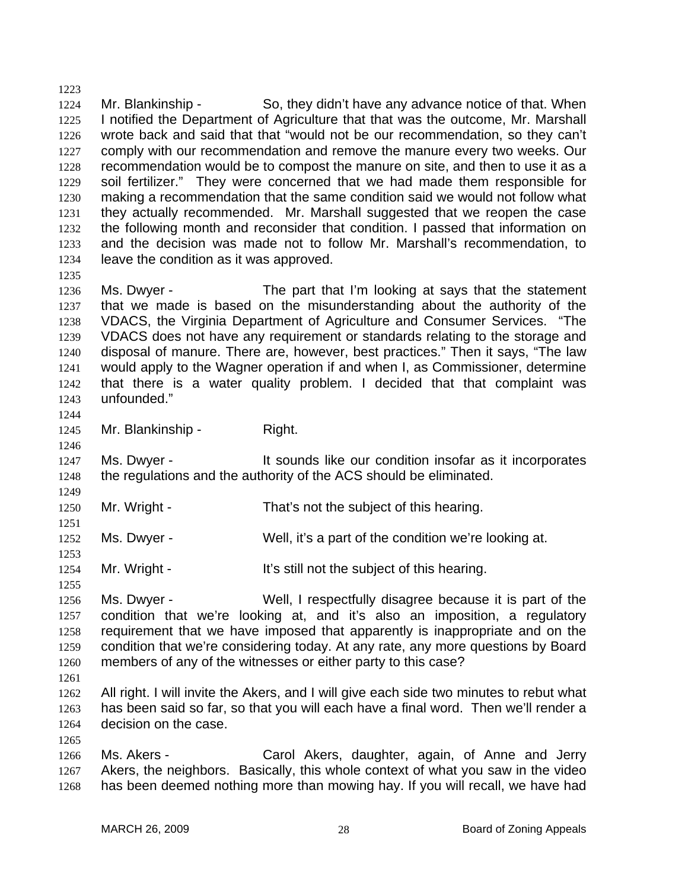1224 1225 1226 1227 1228 1229 1230 1231 1232 1233 1234 1235 Mr. Blankinship - So, they didn't have any advance notice of that. When I notified the Department of Agriculture that that was the outcome, Mr. Marshall wrote back and said that that "would not be our recommendation, so they can't comply with our recommendation and remove the manure every two weeks. Our recommendation would be to compost the manure on site, and then to use it as a soil fertilizer." They were concerned that we had made them responsible for making a recommendation that the same condition said we would not follow what they actually recommended. Mr. Marshall suggested that we reopen the case the following month and reconsider that condition. I passed that information on and the decision was made not to follow Mr. Marshall's recommendation, to leave the condition as it was approved.

1236 1237 1238 1239 1240 1241 1242 1243 Ms. Dwyer - The part that I'm looking at says that the statement that we made is based on the misunderstanding about the authority of the VDACS, the Virginia Department of Agriculture and Consumer Services. "The VDACS does not have any requirement or standards relating to the storage and disposal of manure. There are, however, best practices." Then it says, "The law would apply to the Wagner operation if and when I, as Commissioner, determine that there is a water quality problem. I decided that that complaint was unfounded."

1244 1245

1246

1249

1251

1253

1255

1223

Mr. Blankinship - Right.

1247 1248 Ms. Dwyer - The Sounds like our condition insofar as it incorporates the regulations and the authority of the ACS should be eliminated.

- 1250 Mr. Wright - That's not the subject of this hearing.
- 1252 Ms. Dwyer - Well, it's a part of the condition we're looking at.
- 1254 Mr. Wright - It's still not the subject of this hearing.

1256 1257 1258 1259 1260 Ms. Dwyer - Well, I respectfully disagree because it is part of the condition that we're looking at, and it's also an imposition, a regulatory requirement that we have imposed that apparently is inappropriate and on the condition that we're considering today. At any rate, any more questions by Board members of any of the witnesses or either party to this case?

1261

1265

1262 1263 1264 All right. I will invite the Akers, and I will give each side two minutes to rebut what has been said so far, so that you will each have a final word. Then we'll render a decision on the case.

1266 1267 1268 Ms. Akers - Carol Akers, daughter, again, of Anne and Jerry Akers, the neighbors. Basically, this whole context of what you saw in the video has been deemed nothing more than mowing hay. If you will recall, we have had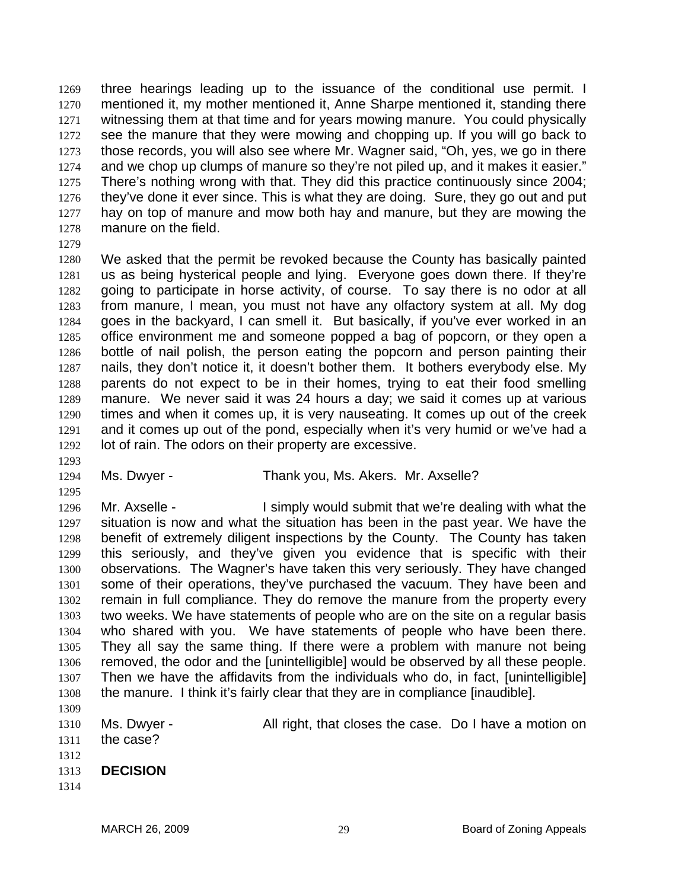three hearings leading up to the issuance of the conditional use permit. I mentioned it, my mother mentioned it, Anne Sharpe mentioned it, standing there witnessing them at that time and for years mowing manure. You could physically see the manure that they were mowing and chopping up. If you will go back to those records, you will also see where Mr. Wagner said, "Oh, yes, we go in there and we chop up clumps of manure so they're not piled up, and it makes it easier." There's nothing wrong with that. They did this practice continuously since 2004; they've done it ever since. This is what they are doing. Sure, they go out and put hay on top of manure and mow both hay and manure, but they are mowing the manure on the field. 1269 1270 1271 1272 1273 1274 1275 1276 1277 1278

1279

1280 1281 1282 1283 1284 1285 1286 1287 1288 1289 1290 1291 1292 We asked that the permit be revoked because the County has basically painted us as being hysterical people and lying. Everyone goes down there. If they're going to participate in horse activity, of course. To say there is no odor at all from manure, I mean, you must not have any olfactory system at all. My dog goes in the backyard, I can smell it. But basically, if you've ever worked in an office environment me and someone popped a bag of popcorn, or they open a bottle of nail polish, the person eating the popcorn and person painting their nails, they don't notice it, it doesn't bother them. It bothers everybody else. My parents do not expect to be in their homes, trying to eat their food smelling manure. We never said it was 24 hours a day; we said it comes up at various times and when it comes up, it is very nauseating. It comes up out of the creek and it comes up out of the pond, especially when it's very humid or we've had a lot of rain. The odors on their property are excessive.

1293

1295

1294

## Ms. Dwyer - Thank you, Ms. Akers. Mr. Axselle?

1296 1297 1298 1299 1300 1301 1302 1303 1304 1305 1306 1307 1308 1309 Mr. Axselle - I simply would submit that we're dealing with what the situation is now and what the situation has been in the past year. We have the benefit of extremely diligent inspections by the County. The County has taken this seriously, and they've given you evidence that is specific with their observations. The Wagner's have taken this very seriously. They have changed some of their operations, they've purchased the vacuum. They have been and remain in full compliance. They do remove the manure from the property every two weeks. We have statements of people who are on the site on a regular basis who shared with you. We have statements of people who have been there. They all say the same thing. If there were a problem with manure not being removed, the odor and the [unintelligible] would be observed by all these people. Then we have the affidavits from the individuals who do, in fact, [unintelligible] the manure. I think it's fairly clear that they are in compliance [inaudible].

- 1310 1311 1312 Ms. Dwyer - All right, that closes the case. Do I have a motion on the case?
- 1313 **DECISION**
- 1314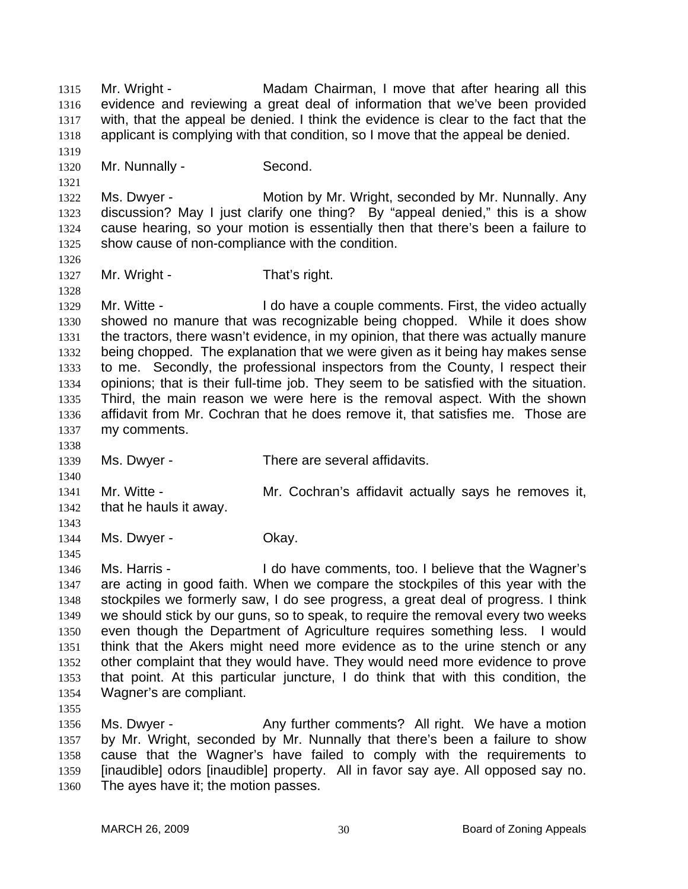Mr. Wright - Madam Chairman, I move that after hearing all this evidence and reviewing a great deal of information that we've been provided with, that the appeal be denied. I think the evidence is clear to the fact that the applicant is complying with that condition, so I move that the appeal be denied. 1315 1316 1317 1318 1319 1320 1321 1322 1323 1324 1325 1326 1327 1328 1329 1330 1331 1332 1333 1334 1335 1336 1337 1338 1339 1340 1341 1342 1343 1344 1345 1346 1347 1348 1349 1350 1351 1352 1353 1354 1355 1356 1357 1358 1359 Mr. Nunnally - Second. Ms. Dwyer - **Motion by Mr. Wright, seconded by Mr. Nunnally. Any** discussion? May I just clarify one thing? By "appeal denied," this is a show cause hearing, so your motion is essentially then that there's been a failure to show cause of non-compliance with the condition. Mr. Wright - That's right. Mr. Witte - The State of the New Aldo have a couple comments. First, the video actually showed no manure that was recognizable being chopped. While it does show the tractors, there wasn't evidence, in my opinion, that there was actually manure being chopped. The explanation that we were given as it being hay makes sense to me. Secondly, the professional inspectors from the County, I respect their opinions; that is their full-time job. They seem to be satisfied with the situation. Third, the main reason we were here is the removal aspect. With the shown affidavit from Mr. Cochran that he does remove it, that satisfies me. Those are my comments. Ms. Dwyer - There are several affidavits. Mr. Witte - **Mr.** Cochran's affidavit actually says he removes it, that he hauls it away. Ms. Dwyer - Chay. Ms. Harris - The Motor Heave comments, too. I believe that the Wagner's are acting in good faith. When we compare the stockpiles of this year with the stockpiles we formerly saw, I do see progress, a great deal of progress. I think we should stick by our guns, so to speak, to require the removal every two weeks even though the Department of Agriculture requires something less. I would think that the Akers might need more evidence as to the urine stench or any other complaint that they would have. They would need more evidence to prove that point. At this particular juncture, I do think that with this condition, the Wagner's are compliant. Ms. Dwyer - Any further comments? All right. We have a motion by Mr. Wright, seconded by Mr. Nunnally that there's been a failure to show cause that the Wagner's have failed to comply with the requirements to [inaudible] odors [inaudible] property. All in favor say aye. All opposed say no.

1360 The ayes have it; the motion passes.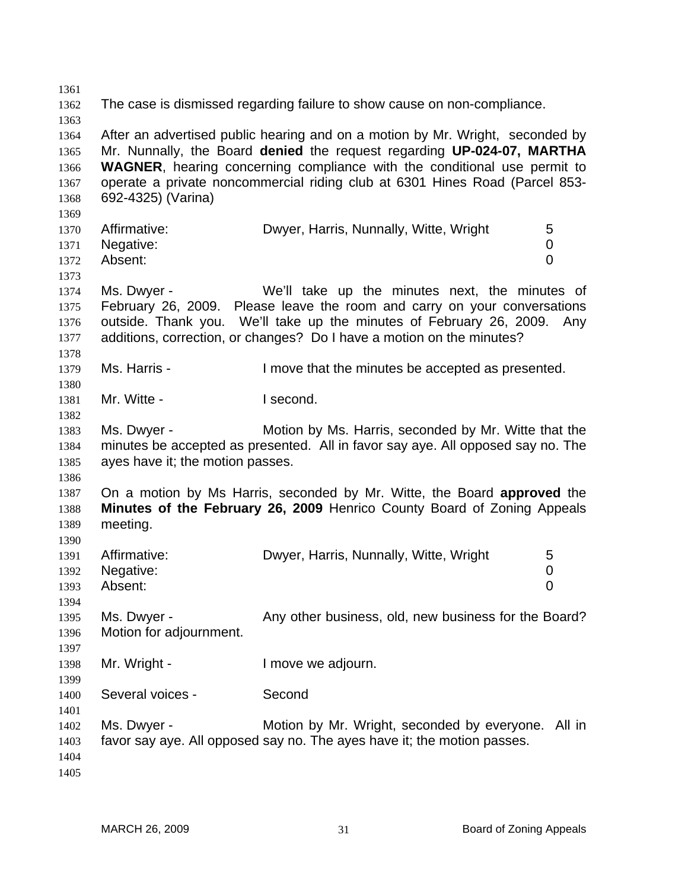1361 1362 1363 1364 1365 1366 1367 1368 1369 1370 1371 1372 1373 1374 1375 1376 1377 1378 1379 1380 1381 1382 1383 1384 1385 1386 1387 1388 1389 1390 1391 1392 1393 1394 1395 1396 1397 1398 1399 1400 1401 1402 1403 1404 1405 The case is dismissed regarding failure to show cause on non-compliance. After an advertised public hearing and on a motion by Mr. Wright, seconded by Mr. Nunnally, the Board **denied** the request regarding **UP-024-07, MARTHA WAGNER**, hearing concerning compliance with the conditional use permit to operate a private noncommercial riding club at 6301 Hines Road (Parcel 853- 692-4325) (Varina) Affirmative: **Dwyer, Harris, Nunnally, Witte, Wright** 5 Negative: 0 Absent: 0 Ms. Dwyer - We'll take up the minutes next, the minutes of February 26, 2009. Please leave the room and carry on your conversations outside. Thank you. We'll take up the minutes of February 26, 2009. Any additions, correction, or changes? Do I have a motion on the minutes? Ms. Harris - The Move that the minutes be accepted as presented. Mr. Witte - **I second.** Ms. Dwyer - Motion by Ms. Harris, seconded by Mr. Witte that the minutes be accepted as presented. All in favor say aye. All opposed say no. The ayes have it; the motion passes. On a motion by Ms Harris, seconded by Mr. Witte, the Board **approved** the **Minutes of the February 26, 2009** Henrico County Board of Zoning Appeals meeting. Affirmative: Dwyer, Harris, Nunnally, Witte, Wright 5 Negative: 0 Absent: 0 Ms. Dwyer - Any other business, old, new business for the Board? Motion for adjournment. Mr. Wright - The Muslim Cove we adjourn. Several voices - Second Ms. Dwyer - Motion by Mr. Wright, seconded by everyone. All in favor say aye. All opposed say no. The ayes have it; the motion passes.